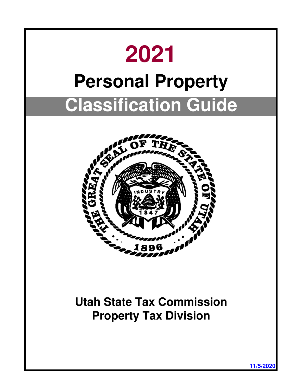

**11/5/2020**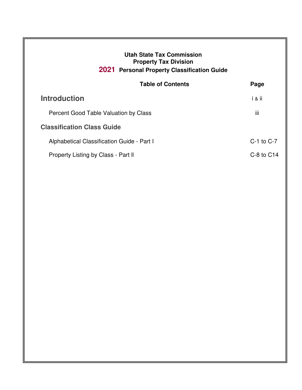|                                            | <b>Table of Contents</b> | Page           |
|--------------------------------------------|--------------------------|----------------|
| <b>Introduction</b>                        |                          | i & ii         |
| Percent Good Table Valuation by Class      |                          | iii            |
| <b>Classification Class Guide</b>          |                          |                |
| Alphabetical Classification Guide - Part I |                          | $C-1$ to $C-7$ |
| Property Listing by Class - Part II        |                          | $C-8$ to $C14$ |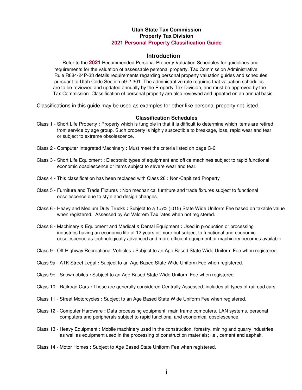# **Introduction**

 Refer to the **2021** Recommended Personal Property Valuation Schedules for guidelines and requirements for the valuation of assessable personal property. Tax Commission Administrative Rule R884-24P-33 details requirements regarding personal property valuation guides and schedules pursuant to Utah Code Section 59-2-301. The administrative rule requires that valuation schedules are to be reviewed and updated annually by the Property Tax Division, and must be approved by the Tax Commission. Classification of personal property are also reviewed and updated on an annual basis.

Classifications in this guide may be used as examples for other like personal property not listed.

## **Classification Schedules**

- Class 1 Short Life Property **:** Property which is fungible in that it is difficult to determine which items are retired from service by age group. Such property is highly susceptible to breakage, loss, rapid wear and tear or subject to extreme obsolescence.
- Class 2 Computer Integrated Machinery **:** Must meet the criteria listed on page C-6.
- Class 3 Short Life Equipment **:** Electronic types of equipment and office machines subject to rapid functional economic obsolescence or items subject to severe wear and tear.
- Class 4 This classification has been replaced with Class 28 **:** Non-Capitized Property
- Class 5 Furniture and Trade Fixtures **:** Non mechanical furniture and trade fixtures subject to functional obsolescence due to style and design changes.
- Class 6 Heavy and Medium Duty Trucks **:** Subject to a 1.5% (.015) State Wide Uniform Fee based on taxable value when registered. Assessed by Ad Valorem Tax rates when not registered.
- Class 8 Machinery & Equipment and Medical & Dental Equipment **:** Used in production or processing industries having an economic life of 12 years or more but subject to functional and economic obsolescence as technologically advanced and more efficient equipment or machinery becomes available.
- Class 9 Off-Highway Recreational Vehicles **:** Subject to an Age Based State Wide Uniform Fee when registered.
- Class 9a ATK Street Legal **:** Subject to an Age Based State Wide Uniform Fee when registered.
- Class 9b Snowmobiles **:** Subject to an Age Based State Wide Uniform Fee when registered.
- Class 10 Railroad Cars **:** These are generally considered Centrally Assessed, includes all types of railroad cars.
- Class 11 Street Motorcycles **:** Subject to an Age Based State Wide Uniform Fee when registered.
- Class 12 Computer Hardware **:** Data processing equipment, main frame computers, LAN systems, personal computers and peripherals subject to rapid functional and economical obsolescence.
- Class 13 Heavy Equipment **:** Mobile machinery used in the construction, forestry, mining and quarry industries as well as equipment used in the processing of construction materials; i.e., cement and asphalt.
- Class 14 Motor Homes **:** Subject to Age Based State Uniform Fee when registered.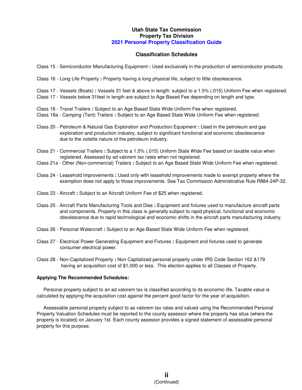## **Classification Schedules**

- Class 15 Semiconductor Manufacturing Equipment **:** Used exclusively in the production of semiconductor products.
- Class 16 Long Life Property **:** Property having a long physical life, subject to little obsolescence.
- Class 17 Vessels (Boats) **:** Vessels 31 feet & above in length: subject to a 1.5% (.015) Uniform Fee when registered.
- Class 17 Vessels below 31feet in length are subject to Age Based Fee depending on length and type.
- Class 18 Travel Trailers **:** Subject to an Age Based State Wide Uniform Fee when registered.
- Class 18a Camping (Tent) Trailers **:** Subject to an Age Based State Wide Uniform Fee when registered.
- Class 20 Petroleum & Natural Gas Exploration and Production Equipment **:** Used in the petroleum and gas exploration and production industry, subject to significant functional and economic obsolescence due to the volatile nature of the petroleum industry.
- Class 21 Commercial Trailers **:** Subject to a 1.5% (.015) Uniform State Wide Fee based on taxable value when registered. Assessed by ad valorem tax rates when not registered.
- Class 21a Other (Non-commercial) Trailers **:** Subject to an Age Based State Wide Uniform Fee when registered.
- Class 24 Leasehold Improvements **:** Used only with leasehold improvements made to exempt property where the exemption does not apply to those improvements. See Tax Commission Administrative Rule R884-24P-32.
- Class 23 Aircraft **:** Subject to an Aircraft Uniform Fee of \$25 when registered.
- Class 25 Aircraft Parts Manufacturing Tools and Dies **:** Equipment and fixtures used to manufacture aircraft parts and components. Property in this class is generally subject to rapid physical, functional and economic obsolescence due to rapid technological and economic shifts in the aircraft parts manufacturing industry.
- Class 26 Personal Watercraft **:** Subject to an Age Based State Wide Uniform Fee when registered.
- Class 27 Electrical Power Generating Equipment and Fixtures **:** Equipment and fixtures used to generate consumer electrical power.
- Class 28 Non-Capitalized Property **:** Non Capitalized personal property under IRS Code Section 162 &179 having an acquisition cost of \$1,000 or less. This election applies to all Classes of Property.

#### **Applying The Recommended Schedules:**

 Personal property subject to an ad valorem tax is classified according to its economic life. Taxable value is calculated by applying the acquisition cost against the percent good factor for the year of acquisition.

 Assessable personal property subject to as valorem tax rates and valued using the Recommended Personal Property Valuation Schedules must be reported to the county assessor where the property has situs (where the property is located) on January 1st. Each county assessor provides a signed statement of assessable personal property for this purpose.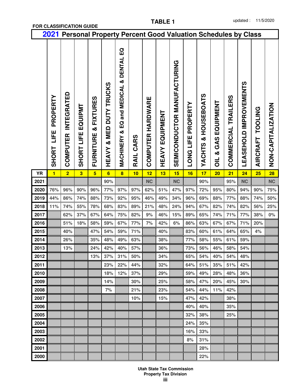|              | 2021                                    |                               |                                       | <b>Personal Property Percent Good Valuation Schedules by Class</b> |                                         |                                                                                   |              |                      |                           |                             |                                     |                                         |                                                     |                            |                               |                                   |                         |
|--------------|-----------------------------------------|-------------------------------|---------------------------------------|--------------------------------------------------------------------|-----------------------------------------|-----------------------------------------------------------------------------------|--------------|----------------------|---------------------------|-----------------------------|-------------------------------------|-----------------------------------------|-----------------------------------------------------|----------------------------|-------------------------------|-----------------------------------|-------------------------|
|              | PROPERTY<br><b>LIFE</b><br><b>SHORT</b> | <b>INTEGRATED</b><br>COMPUTER | EQUIPMT<br><b>UFE</b><br><b>SHORT</b> | <b>FIXTURES</b><br>ઌ<br>FURNITURE                                  | DUTY TRUCKS<br>MED<br>ઌ<br><b>HEAVY</b> | $\Omega$<br>DENTAL<br>ઌ<br>and MEDICAL<br>$\overline{a}$<br>ऌ<br><b>MACHINERY</b> | CARS<br>RAIL | HARDWARE<br>COMPUTER | EQUIPMENT<br><b>HEAVY</b> | SEMICONDUCTOR MANUFACTURING | <b>PROPERTY</b><br><b>LONG LIFE</b> | <b>HOUSEBOATS</b><br>×<br><b>YACHTS</b> | EQUIPMENT<br>GAS<br>ઌૻ<br>$\overline{\overline{0}}$ | <b>COMMERCIAL TRAILERS</b> | <b>LEASEHOLD IMPROVEMENTS</b> | <b>TOOLING</b><br><b>AIRCRAFT</b> | <b>ZOITALIALIAO-ZOZ</b> |
| <b>YR</b>    | $\blacksquare$                          | $\overline{2}$                | $\overline{\mathbf{3}}$               | $5\overline{)}$                                                    | $6\phantom{a}$                          | 8                                                                                 | 10           | 12                   | 13                        | 15                          | 16                                  | 17                                      | 20                                                  | 21                         | 24                            | 25                                | 28                      |
| 2021         |                                         |                               |                                       |                                                                    | 90%                                     |                                                                                   |              | <b>NC</b>            |                           | <b>NC</b>                   |                                     | 90%                                     |                                                     | 95%                        | <b>NC</b>                     |                                   | <b>NC</b>               |
| 2020         | 76%                                     | 96%                           | 90%                                   | 96%                                                                | 77%                                     | 97%                                                                               | 97%          | 62%                  | 51%                       | 47%                         | 97%                                 | 72%                                     | 95%                                                 | 80%                        | 94%                           | 90%                               | 75%                     |
| 2019         | 44%                                     | 86%                           | 74%                                   | 88%                                                                | 73%<br>68%                              | 92%<br>83%                                                                        | 95%          | 46%                  | 49%                       | 34%                         | 96%                                 | 69%                                     | 88%                                                 | 77%                        | 88%                           | 74%                               | 50%                     |
| 2018         | 11%                                     | 74%                           | 55%                                   | 78%                                                                |                                         |                                                                                   | 89%          | 21%<br>9%            | 48%                       | 24%                         | 94%                                 | 67%                                     | 82%                                                 | 74%                        | 82%                           | 56%                               | 25%                     |
| 2017         |                                         | 62%<br>51%                    | 37%                                   | 67%                                                                | 64%                                     | 75%                                                                               | 82%          |                      | 46%                       | 15%                         | 89%                                 | 65%                                     | 74%                                                 | 71%                        | 77%                           | 38%                               | $0\%$                   |
| 2016<br>2015 |                                         | 40%                           | 18%                                   | 58%<br>47%                                                         | 59%<br>54%                              | 67%<br>59%                                                                        | 77%<br>71%   | 7%                   | 42%<br>40%                | 6%                          | 86%                                 | 63%<br>60%                              | 67%                                                 | 67%<br>64%                 | 71%<br>65%                    | 20%                               |                         |
| 2014         |                                         | 26%                           |                                       | 35%                                                                | 48%                                     | 49%                                                                               | 63%          |                      | 38%                       |                             | 83%<br>77%                          | 58%                                     | 61%<br>55%                                          | 61%                        | 59%                           | 4%                                |                         |
| 2013         |                                         | 13%                           |                                       | 24%                                                                | 42%                                     | 40%                                                                               | 57%          |                      | 36%                       |                             | 73%                                 | 56%                                     | 46%                                                 | 58%                        | 54%                           |                                   |                         |
| 2012         |                                         |                               |                                       | 13%                                                                | 37%                                     | 31%                                                                               | 50%          |                      | 34%                       |                             | 65%                                 | 54%                                     | 40%                                                 | 54%                        | 48%                           |                                   |                         |
| 2011         |                                         |                               |                                       |                                                                    | 23%                                     | 22%                                                                               | 44%          |                      | 32%                       |                             | 64%                                 | 51%                                     | 35%                                                 | 51%                        | 42%                           |                                   |                         |
| 2010         |                                         |                               |                                       |                                                                    | 18%                                     | 12%                                                                               | 37%          |                      | 29%                       |                             | 59%                                 | 49%                                     | 28%                                                 | 48%                        | 36%                           |                                   |                         |
| 2009         |                                         |                               |                                       |                                                                    | 14%                                     |                                                                                   | 30%          |                      | 25%                       |                             | 58%                                 | 47%                                     | 20%                                                 | 45%                        | 30%                           |                                   |                         |
| 2008         |                                         |                               |                                       |                                                                    | 7%                                      |                                                                                   | 21%          |                      | 23%                       |                             | 54%                                 | 44%                                     | 11%                                                 | 42%                        |                               |                                   |                         |
| 2007         |                                         |                               |                                       |                                                                    |                                         |                                                                                   | 10%          |                      | 15%                       |                             | 47%                                 | 42%                                     |                                                     | 38%                        |                               |                                   |                         |
| 2006         |                                         |                               |                                       |                                                                    |                                         |                                                                                   |              |                      |                           |                             | 40%                                 | 40%                                     |                                                     | 35%                        |                               |                                   |                         |
| 2005         |                                         |                               |                                       |                                                                    |                                         |                                                                                   |              |                      |                           |                             | 32%                                 | 38%                                     |                                                     | 25%                        |                               |                                   |                         |
| 2004         |                                         |                               |                                       |                                                                    |                                         |                                                                                   |              |                      |                           |                             | 24%                                 | 35%                                     |                                                     |                            |                               |                                   |                         |
| 2003         |                                         |                               |                                       |                                                                    |                                         |                                                                                   |              |                      |                           |                             | 16%                                 | 33%                                     |                                                     |                            |                               |                                   |                         |
| 2002         |                                         |                               |                                       |                                                                    |                                         |                                                                                   |              |                      |                           |                             | 8%                                  | 31%                                     |                                                     |                            |                               |                                   |                         |
| 2001         |                                         |                               |                                       |                                                                    |                                         |                                                                                   |              |                      |                           |                             |                                     | 28%                                     |                                                     |                            |                               |                                   |                         |
| 2000         |                                         |                               |                                       |                                                                    |                                         |                                                                                   |              |                      |                           |                             |                                     | 22%                                     |                                                     |                            |                               |                                   |                         |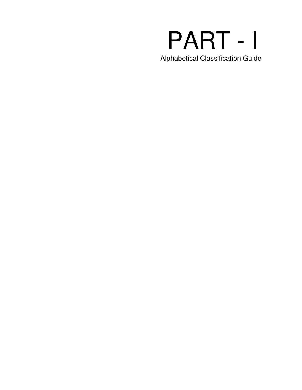# PART - I

Alphabetical Classification Guide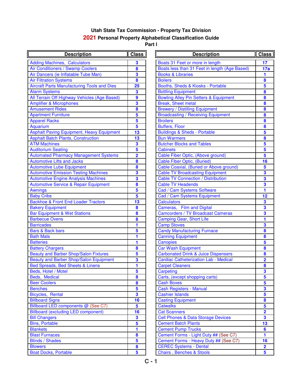| <b>Description</b>                                 | <b>Class</b>            | <b>Description</b>                               | Class                   |
|----------------------------------------------------|-------------------------|--------------------------------------------------|-------------------------|
| <b>Adding Machines, Calculators</b>                | 3                       | Boats 31 Feet or more in length                  | 17 <sub>1</sub>         |
| Air Conditioners / Swamp Coolers                   | 8                       | Boats less than 31 Feet in length (Age Based)    | 17a                     |
| Air Dancers (ie Inflatable Tube Man)               | $\overline{\mathbf{3}}$ | <b>Books &amp; Libraries</b>                     | $\mathbf{1}$            |
| <b>Air Filtration Systems</b>                      | 8                       | <b>Boilers</b>                                   | $\bf{8}$                |
| <b>Aircraft Parts Manufacturing Tools and Dies</b> | 25                      | Booths, Sheds & Kiosks - Portable                | $5\phantom{a}$          |
| <b>Alarm Systems</b>                               | $\overline{\mathbf{3}}$ | <b>Bottling Equipment</b>                        | 8                       |
| All Terrain Off Highway Vehicles (Age Based)       | $\boldsymbol{9}$        | <b>Bowling Alley Pin Setters &amp; Equipment</b> | 8                       |
| <b>Amplifier &amp; Microphones</b>                 | 3                       | <b>Break, Sheet metal</b>                        | 8                       |
| <b>Amusement Rides</b>                             | 8                       | <b>Brewery / Distilling Equipment</b>            | 8                       |
| <b>Apartment Furniture</b>                         | $5\phantom{a}$          | <b>Broadcasting / Receiving Equipment</b>        | 8                       |
| <b>Apparel Racks</b>                               | 5                       | <b>Broilers</b>                                  | 8                       |
| Aquarium                                           | $\overline{\mathbf{5}}$ | <b>Buffers, Floor</b>                            | 8                       |
| <b>Asphalt Paving Equipment, Heavy Equipment</b>   | 13                      | <b>Buildings &amp; Sheds - Portable</b>          | $\overline{\mathbf{5}}$ |
| <b>Asphalt Batch Plants, Construction</b>          | 13                      | <b>Bun Warmers</b>                               | 8                       |
| <b>ATM Machines</b>                                | $\overline{\mathbf{3}}$ | <b>Butcher Blocks and Tables</b>                 | $\overline{\mathbf{5}}$ |
| <b>Auditorium Seating</b>                          | 5                       | <b>Cabinets</b>                                  | $\overline{\mathbf{5}}$ |
| <b>Automated Pharmacy Management Systems</b>       | $\overline{\mathbf{2}}$ | Cable Fiber Optic, (Above ground)                | $\overline{\mathbf{5}}$ |
| <b>Automotive Lifts and Jacks</b>                  | 8                       | <b>Cable Fiber Optic, (Buried)</b>               | 16                      |
| <b>Automotive Lube Equipment</b>                   | 8                       | Cable Coaxial, (Buried or Above ground)          | 5                       |
| <b>Automotive Emission Testing Machines</b>        | 3                       | <b>Cable TV Broadcasting Equipment</b>           | $\overline{\mathbf{3}}$ |
| <b>Automotive Engine Analysis Machines</b>         | 3                       | <b>Cable TV Connection / Distribution</b>        | $\overline{\mathbf{3}}$ |
| <b>Automotive Service &amp; Repair Equipment</b>   | 8                       | <b>Cable TV Headends</b>                         | 3                       |
| <b>Awnings</b>                                     | 5                       | Cad / Cam Systems Software                       | 1                       |
| <b>Baby Cribs</b>                                  | 5                       | Cad / Cam Systems Equipment                      | 12                      |
| <b>Backhoe &amp; Front End Loader Tractors</b>     | 13                      | <b>Calculators</b>                               | $\overline{\mathbf{3}}$ |
| <b>Bakery Equipment</b>                            | $\bf{8}$                | Cameras, Film and Digital                        | $\overline{\mathbf{3}}$ |
| <b>Bar Equipment &amp; Wet Stations</b>            | $\bf{8}$                | <b>Camcorders / TV Broadcast Cameras</b>         | $\overline{\mathbf{3}}$ |
| <b>Barbecue Ovens</b>                              | 8                       | <b>Camping Gear, Short Life</b>                  | 1                       |
| <b>Barricades</b>                                  | 1                       | <b>Camp Stoves</b>                               | $\overline{\mathbf{3}}$ |
| <b>Bars &amp; Back bars</b>                        | 5                       | <b>Candy Manufacturing Furnace</b>               | 8                       |
| <b>Bath Mats</b>                                   | 1                       | <b>Canning Equipment</b>                         | 8                       |
| <b>Batteries</b>                                   | 1                       | <b>Canopies</b>                                  | $\overline{\mathbf{5}}$ |
| <b>Battery Chargers</b>                            | $\bf{8}$                | Car Wash Equipment                               | 8                       |
| <b>Beauty and Barber Shop/Salon Fixtures</b>       | 5                       | <b>Carbonated Drink &amp; Juice Dispensers</b>   | 8                       |
| Beauty and Barber Shop/Salon Equipment             | 3                       | <b>Cardiac Catheterization Lab - Medical</b>     | $\overline{\mathbf{2}}$ |
| Bed Spreads, Bed Sheets & Linens                   | 1                       | <b>Carpet Cleaners</b>                           | 8                       |
| Beds, Hotel / Motel                                | 5                       | Carpeting                                        | $\overline{\mathbf{3}}$ |
| Beds, Medical                                      | $\boldsymbol{8}$        | Carts, (except shopping carts)                   | 5                       |
| <b>Beer Coolers</b>                                | 8                       | <b>Cash Boxes</b>                                | $5\overline{)}$         |
| <b>Benches</b>                                     | 5                       | <b>Cash Registers - Manual</b>                   | $\overline{\mathbf{3}}$ |
| Bicycles, Rental                                   | $\overline{\mathbf{3}}$ | <b>Cashier Islands</b>                           | $\overline{\mathbf{5}}$ |
| <b>Billboard Signs</b>                             | 16                      | <b>Casting Equipment</b>                         | 8                       |
| Billboard LED components @ (See C7)                | 5                       | <b>Catwalks</b>                                  | $\overline{\mathbf{5}}$ |
| <b>Billboard (excluding LED component)</b>         | 16                      | <b>Cat Scanners</b>                              | $\overline{\mathbf{2}}$ |
| <b>Bill Changers</b>                               | 3                       | <b>Cell Phones &amp; Data Storage Devices</b>    | $\overline{\mathbf{3}}$ |
| <b>Bins, Portable</b>                              | 5                       | <b>Cement Batch Plants</b>                       | 13                      |
| <b>Blankets</b>                                    | 1                       | <b>Cement Pump Trucks</b>                        | $6\phantom{a}$          |
| <b>Blast Furnaces</b>                              | 8                       | Cement Forms - Light Duty ## (See C7)            | 1                       |
| <b>Blinds / Shades</b>                             | 5                       | Cement Forms - Heavy Duty ## (See C7)            | 16                      |
| <b>Blowers</b>                                     | 8                       | <b>CEREC Systems - Dental</b>                    | $\overline{\mathbf{2}}$ |
| <b>Boat Docks, Portable</b>                        | 5                       | <b>Chairs, Benches &amp; Stools</b>              | 5 <sup>5</sup>          |

| <b>Description</b>                | <b>Class</b>            | <b>Description</b>                               | <b>Class</b>            |
|-----------------------------------|-------------------------|--------------------------------------------------|-------------------------|
| , Calculators                     | 3                       | Boats 31 Feet or more in length                  | 17                      |
| <b>Swamp Coolers</b>              | 8                       | Boats less than 31 Feet in length (Age Based)    | 17a                     |
| flatable Tube Man)                | 3                       | <b>Books &amp; Libraries</b>                     | 1                       |
| ems                               | 8                       | <b>Boilers</b>                                   | 8                       |
| <b>Iufacturing Tools and Dies</b> | 25                      | Booths, Sheds & Kiosks - Portable                | 5                       |
|                                   | 3                       | <b>Bottling Equipment</b>                        | 8                       |
| hway Vehicles (Age Based)         | 9                       | <b>Bowling Alley Pin Setters &amp; Equipment</b> | 8                       |
| <b>phones</b>                     | 3                       | <b>Break, Sheet metal</b>                        | 8                       |
| S                                 | 8                       | <b>Brewery / Distilling Equipment</b>            | 8                       |
| ıre                               | 5                       | <b>Broadcasting / Receiving Equipment</b>        | 8                       |
|                                   | 5                       | <b>Broilers</b>                                  | 8                       |
|                                   | $\overline{\mathbf{5}}$ | <b>Buffers, Floor</b>                            | 8                       |
| quipment, Heavy Equipment         | 13                      | <b>Buildings &amp; Sheds - Portable</b>          | 5                       |
| <b>Ints, Construction</b>         | 13                      | <b>Bun Warmers</b>                               | 8                       |
|                                   | 3                       | <b>Butcher Blocks and Tables</b>                 | 5                       |
| ıg                                | 5                       | <b>Cabinets</b>                                  | 5                       |
| nacy Management Systems           | $\overline{\mathbf{2}}$ | Cable Fiber Optic, (Above ground)                | 5                       |
| and Jacks                         | 8                       | <b>Cable Fiber Optic, (Buried)</b>               | 16                      |
| Equipment                         | 8                       | Cable Coaxial, (Buried or Above ground)          | 5                       |
| sion Testing Machines             | 3                       | <b>Cable TV Broadcasting Equipment</b>           | 3                       |
| e Analysis Machines               | 3                       | <b>Cable TV Connection / Distribution</b>        | 3                       |
| ce & Repair Equipment             | 8                       | <b>Cable TV Headends</b>                         | 3                       |
|                                   | 5                       | Cad / Cam Systems Software                       | 1                       |
|                                   | 5                       | Cad / Cam Systems Equipment                      | 12                      |
| <b>End Loader Tractors</b>        | 13                      | <b>Calculators</b>                               | $\overline{\mathbf{3}}$ |
| ıt.                               | 8                       | Cameras, Film and Digital                        | 3                       |
| <b>Wet Stations</b>               | 8                       | <b>Camcorders / TV Broadcast Cameras</b>         | 3                       |
|                                   | 8                       | <b>Camping Gear, Short Life</b>                  | 1                       |
|                                   | 1                       | <b>Camp Stoves</b>                               | 3                       |
|                                   | 5                       | <b>Candy Manufacturing Furnace</b>               | 8                       |
|                                   | 1                       | <b>Canning Equipment</b>                         | 8                       |
|                                   | 1                       | Canopies                                         | 5                       |
|                                   | 8                       | <b>Car Wash Equipment</b>                        | 8                       |
| er Shop/Salon Fixtures            | 5                       | <b>Carbonated Drink &amp; Juice Dispensers</b>   | 8                       |
| er Shop/Salon Equipment           | 3                       | <b>Cardiac Catheterization Lab - Medical</b>     | $\overline{\mathbf{2}}$ |
| <b>J</b> Sheets & Linens          | 1                       | <b>Carpet Cleaners</b>                           | 8                       |
| el                                | 5                       | Carpeting                                        |                         |
|                                   | 8                       | Carts, (except shopping carts)                   | 5                       |
|                                   | 8                       | <b>Cash Boxes</b>                                | $\overline{\mathbf{5}}$ |
|                                   | 5                       | <b>Cash Registers - Manual</b>                   | 3                       |
|                                   | 3                       | <b>Cashier Islands</b>                           | 5                       |
|                                   | 16                      | <b>Casting Equipment</b>                         | 8                       |
| nponents @ (See C7)               | 5                       | <b>Catwalks</b>                                  | 5                       |
| ng LED component)                 | 16                      | <b>Cat Scanners</b>                              | $\overline{\mathbf{2}}$ |
|                                   | 3                       | <b>Cell Phones &amp; Data Storage Devices</b>    | $\overline{\mathbf{3}}$ |
|                                   | 5                       | <b>Cement Batch Plants</b>                       | 13                      |
|                                   | 1                       | <b>Cement Pump Trucks</b>                        | 6                       |
|                                   | 8                       | Cement Forms - Light Duty ## (See C7)            | 1                       |
|                                   | 5                       | Cement Forms - Heavy Duty ## (See C7)            | 16                      |
|                                   | 8                       | <b>CEREC Systems - Dental</b>                    | $\overline{\mathbf{2}}$ |
| able                              | 5                       | <b>Chairs, Benches &amp; Stools</b>              | 5                       |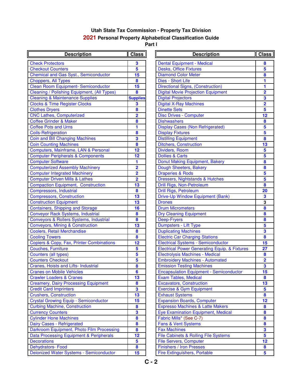| <b>Description</b>                                 | Class                   | <b>Description</b>                                       | Clas                    |
|----------------------------------------------------|-------------------------|----------------------------------------------------------|-------------------------|
| <b>Check Protectors</b>                            | 3                       | <b>Dental Equipment - Medical</b>                        | 8                       |
| <b>Checkout Counters</b>                           | $5\phantom{a}$          | <b>Desks, Office Fixtures</b>                            | 5                       |
| <b>Chemical and Gas Syst., Semiconductor</b>       | 15                      | <b>Diamond Color Meter</b>                               | $\bf{8}$                |
| Choppers, All Types                                | 8                       | Dies - Short Life                                        | 1                       |
| <b>Clean Room Equipment- Semiconductor</b>         | 15                      | <b>Directional Signs, (Construction)</b>                 | $\blacksquare$          |
| <b>Cleaning / Polishing Equipment, (All Types)</b> | 8                       | <b>Digital Movie Projection Equipment</b>                | $\overline{\mathbf{2}}$ |
| <b>Cleaning &amp; Maintenance Supplies</b>         | <b>Supplies</b>         | <b>Digital Projectors</b>                                | $\overline{\mathbf{3}}$ |
| <b>Clocks &amp; Time Register Clocks</b>           | 3                       | <b>Digital X-Ray Machines</b>                            | $\overline{\mathbf{2}}$ |
| <b>Clothes Dryers</b>                              | 8                       | <b>Dinette Sets</b>                                      | 5                       |
| <b>CNC Lathes, Computerized</b>                    | $\overline{\mathbf{2}}$ | <b>Disc Drives - Computer</b>                            | 12                      |
| <b>Coffee Grinder &amp; Maker</b>                  | 8                       | <b>Dishwashers</b>                                       | $\pmb{8}$               |
| <b>Coffee Pots and Urns</b>                        | 1                       | <b>Display Cases (Non Refrigerated)</b>                  | $\overline{\mathbf{5}}$ |
| <b>Coils-Refrigeration</b>                         | 8                       | <b>Display Fixtures</b>                                  | $\overline{\mathbf{5}}$ |
| <b>Coin and Bill Changing Machines</b>             | 3                       | <b>Distilling Equipment</b>                              | $\bf{8}$                |
| <b>Coin Counting Machines</b>                      | 8                       | <b>Ditchers, Construction</b>                            | 13                      |
| Computers, Mainframe, LAN & Personal               | 12                      | Dividers, Room                                           | $\overline{\mathbf{5}}$ |
| <b>Computer Peripherals &amp; Components</b>       | 12                      | <b>Dollies &amp; Carts</b>                               | $\overline{\mathbf{5}}$ |
| <b>Computer Software</b>                           | 1                       | Donut Making Equipment, Bakery                           | $\bf{8}$                |
| <b>Computerized Assembly Machinery</b>             | $\overline{\mathbf{2}}$ | Dough Sheeters, Bakery                                   | $\bf{8}$                |
| <b>Computer Integrated Machinery</b>               | $\overline{\mathbf{2}}$ | <b>Draperies &amp; Rods</b>                              | $\overline{\mathbf{5}}$ |
| <b>Computer Driven Mills &amp; Lathes</b>          | $\overline{\mathbf{2}}$ | Dressers, Nightstands & Hutches                          | $\overline{\mathbf{5}}$ |
| <b>Compaction Equipment, Construction</b>          | 13                      | Drill Rigs, Non-Petroleum                                | $\bf{8}$                |
| Compressors, Industrial                            | 8                       | Drill Rigs, Petroleum                                    | 20                      |
| <b>Compressors, Construction</b>                   | 13                      | Drive-Up Window Equipment (Bank)                         | $\overline{\mathbf{3}}$ |
| <b>Construction Equipment</b>                      | 13                      | <b>Drones</b>                                            | $\overline{\mathbf{3}}$ |
| <b>Containers, Shipping and Storage</b>            | 16                      | <b>Drum Micrometers</b>                                  | $\bf{8}$                |
| <b>Conveyor Rack Systems, Industrial</b>           | 8                       | <b>Dry Cleaning Equipment</b>                            | $\pmb{8}$               |
| Conveyors & Rollers Systems, Industrial            | 8                       | Deep-Fryers                                              | $\pmb{8}$               |
| <b>Conveyors, Mining &amp; Construction</b>        | 13                      | Dumpsters - Lift Type                                    | $\overline{\mathbf{5}}$ |
| <b>Coolers, Retail Merchandise</b>                 | 8                       | <b>Duplicating Machines</b>                              | $\overline{\mathbf{3}}$ |
| <b>Cooling Towers</b>                              | 8                       | <b>Electric Car Charging Stations</b>                    | $\bf{8}$                |
| Copiers & Copy, Fax, Printer Combinations          | 12                      | <b>Electrical Systems - Semiconductor</b>                | 15                      |
| <b>Couches, Furniture</b>                          | $5\phantom{a}$          | <b>Electrical Power Generating Equip. &amp; Fixtures</b> | 27                      |
| Counters (all types)                               | 5                       | Electrolysis Machines - Medical                          | $\bf{8}$                |
| <b>Counters Checkout</b>                           | 5                       | <b>Embroidery Machines - Automated</b>                   | $\overline{\mathbf{2}}$ |
| Cranes, Hoists and Lifts- Industrial               | 8                       | <b>Emission Testing Machines</b>                         | $\overline{\mathbf{3}}$ |
| <b>Cranes on Mobile Vehicles</b>                   | 6                       | <b>Encapsulation Equipment - Semiconductor</b>           | 15                      |
| <b>Crawler Loaders &amp; Cranes</b>                | 13                      | Exam Tables, Medical                                     | $\bf{8}$                |
| <b>Creamery, Dairy Processing Equipment</b>        | 8                       | <b>Excavators, Construction</b>                          | 13                      |
| <b>Credit Card Imprinters</b>                      | $\overline{\mathbf{3}}$ | <b>Exercise &amp; Gym Equipment</b>                      | 5                       |
| <b>Crushers, Construction</b>                      | 13                      | <b>Exhaust Systems</b>                                   | $\bf{8}$                |
| <b>Crystal Growing Equip - Semiconductor</b>       | 15                      | <b>Expansion Boards, Computer</b>                        | 12                      |
| <b>Curbing Machine, Construction</b>               | 8                       | <b>Expresso Machines &amp; Latte Makers</b>              | $\bf{8}$                |
| <b>Currency Counters</b>                           | $\overline{\mathbf{3}}$ | <b>Eye Examination Equipment, Medical</b>                | $\boldsymbol{8}$        |
| <b>Cylinder Hone Machines</b>                      | 8                       | Fabric Mills* (See C-7)                                  | $\bf{8}$                |
| Dairy Cases - Refrigerated                         | 8                       | Fans & Vent Systems                                      | $\bf{8}$                |
| Darkroom Equipment, Photo Film Processing          | 8                       | <b>Fax Machines</b>                                      | $\overline{\mathbf{3}}$ |
| Data Processing Equipment & Peripherals            | 12                      | File Cabinets & Rolling File Systems                     | $\overline{\mathbf{5}}$ |
| <b>Decorations</b>                                 | 5                       | <b>File Servers, Computer</b>                            | 12                      |
| Dehydrators- Food                                  | $\bullet$               | <b>Finishers / Iron Presses</b>                          | 8                       |
| Deionized Water Systems - Semiconductor            | 15                      | <b>Fire Extinguishers, Portable</b>                      | $\overline{\mathbf{5}}$ |

| <b>Description</b>                 | <b>Class</b>            | <b>Description</b>                                       | <b>Class</b>            |
|------------------------------------|-------------------------|----------------------------------------------------------|-------------------------|
|                                    | 3                       | <b>Dental Equipment - Medical</b>                        | 8                       |
| rs                                 | 5                       | <b>Desks, Office Fixtures</b>                            | 5                       |
| s Syst., Semiconductor             | 15                      | <b>Diamond Color Meter</b>                               | 8                       |
| es                                 | 8                       | Dies - Short Life                                        | 1                       |
| pment-Semiconductor                | 15                      | <b>Directional Signs, (Construction)</b>                 | 1                       |
| ng Equipment, (All Types)          | 8                       | <b>Digital Movie Projection Equipment</b>                | 2                       |
| enance Supplies                    | <b>Supplies</b>         | <b>Digital Projectors</b>                                | 3                       |
| egister Clocks                     | 3                       | <b>Digital X-Ray Machines</b>                            | $\overline{2}$          |
|                                    | 8                       | <b>Dinette Sets</b>                                      | 5                       |
| <b>puterized</b>                   | $\overline{2}$          | <b>Disc Drives - Computer</b>                            | 12                      |
| <b>Maker</b>                       | 8                       | <b>Dishwashers</b>                                       | 8                       |
| Jrns                               | 1                       | <b>Display Cases (Non Refrigerated)</b>                  | 5                       |
| n.                                 | 8                       | <b>Display Fixtures</b>                                  | 5                       |
| nging Machines                     | 3                       | <b>Distilling Equipment</b>                              | 8                       |
| achines                            | 8                       | <b>Ditchers, Construction</b>                            | 13                      |
| frame, LAN & Personal              | 12                      | Dividers, Room                                           | 5                       |
| erals & Components                 | 12                      | <b>Dollies &amp; Carts</b>                               | 5                       |
| re                                 | 1                       | Donut Making Equipment, Bakery                           | 8                       |
| sembly Machinery                   | $\overline{\mathbf{2}}$ | Dough Sheeters, Bakery                                   | 8                       |
| ted Machinery                      | $\overline{\mathbf{2}}$ | <b>Draperies &amp; Rods</b>                              | 5                       |
| <b>Mills &amp; Lathes</b>          | $\overline{\mathbf{2}}$ | Dressers, Nightstands & Hutches                          | 5                       |
| oment, Construction                | 13                      | Drill Rigs, Non-Petroleum                                | 8                       |
| lustrial                           | 8                       | Drill Rigs, Petroleum                                    | 20                      |
| nstruction                         | 13                      | Drive-Up Window Equipment (Bank)                         | $\overline{\mathbf{3}}$ |
| ipment                             | 13                      | <b>Drones</b>                                            | 3                       |
| <b>Ding and Storage</b>            | 16                      | <b>Drum Micrometers</b>                                  | 8                       |
| ystems, Industrial                 | 8                       | <b>Dry Cleaning Equipment</b>                            | 8                       |
| ers Systems, Industrial            | 8                       | Deep-Fryers                                              | 8                       |
| g & Construction                   | 13                      | Dumpsters - Lift Type                                    | 5                       |
| erchandise                         | 8                       | <b>Duplicating Machines</b>                              | 3                       |
|                                    | 8                       | <b>Electric Car Charging Stations</b>                    | 8                       |
| Fax, Printer Combinations          | 12                      | <b>Electrical Systems - Semiconductor</b>                | 15                      |
| re                                 | 5                       | <b>Electrical Power Generating Equip. &amp; Fixtures</b> | 27                      |
| s)                                 | $5\overline{5}$         | Electrolysis Machines - Medical                          | 8                       |
| ut                                 | 5                       | <b>Embroidery Machines - Automated</b>                   | $\overline{2}$          |
| <b>d Lifts- Industrial</b>         | 8                       | <b>Emission Testing Machines</b>                         | 3                       |
| Vehicles                           | $6\phantom{a}$          | <b>Encapsulation Equipment - Semiconductor</b>           | 15                      |
| & Cranes                           | 13                      | Exam Tables, Medical                                     | 8                       |
| <b>Processing Equipment</b>        | 8                       | <b>Excavators, Construction</b>                          | 13                      |
| nters                              | 3                       | <b>Exercise &amp; Gym Equipment</b>                      | 5                       |
| uction                             | 13                      | <b>Exhaust Systems</b>                                   | 8                       |
| Equip - Semiconductor              | 15                      | <b>Expansion Boards, Computer</b>                        | 12                      |
| Construction                       | $\boldsymbol{8}$        | <b>Expresso Machines &amp; Latte Makers</b>              | 8                       |
| 'S                                 | $\overline{\mathbf{3}}$ | <b>Eye Examination Equipment, Medical</b>                | 8                       |
| achines                            | 8                       | Fabric Mills* (See C-7)                                  | 8                       |
| frigerated                         | $\boldsymbol{8}$        | Fans & Vent Systems                                      | 8                       |
| ent, Photo Film Processing         | 8                       | <b>Fax Machines</b>                                      | 3                       |
| <b>Equipment &amp; Peripherals</b> | 12                      | File Cabinets & Rolling File Systems                     | 5                       |
|                                    | $\overline{\mathbf{5}}$ | <b>File Servers, Computer</b>                            | 12                      |
| d                                  | $\boldsymbol{8}$        | <b>Finishers / Iron Presses</b>                          | 8                       |
| <b>Systems - Semiconductor</b>     | 15                      | <b>Fire Extinguishers, Portable</b>                      | 5                       |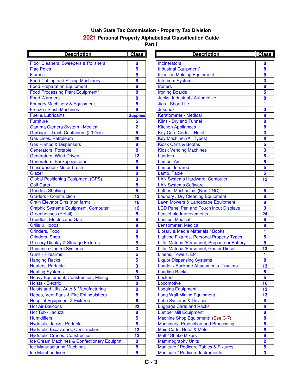| <b>Description</b>                            | Class                   | <b>Description</b>                                | <b>Clas</b>             |
|-----------------------------------------------|-------------------------|---------------------------------------------------|-------------------------|
| Floor Cleaners, Sweepers & Polishers          | 8                       | Incinerators                                      | 8                       |
| <b>Flag Poles</b>                             | $\overline{\mathbf{5}}$ | Industrial Equipment*                             | $\pmb{8}$               |
| <b>Flumes</b>                                 | 8                       | <b>Injection Molding Equipment</b>                | $\boldsymbol{8}$        |
| <b>Food Cutting and Slicing Machinery</b>     | 8                       | <b>Intercom Systems</b>                           | $\mathbf{3}$            |
| <b>Food Preparation Equipment</b>             | 8                       | <b>Ironers</b>                                    | $\pmb{8}$               |
| Food Processing Plant Equipment*              | 8                       | <b>Ironing Boards</b>                             | $\overline{\mathbf{5}}$ |
| <b>Food Warmers</b>                           | 8                       | Jacks, Industrial / Automotive                    | $\pmb{8}$               |
| <b>Foundry Machinery &amp; Equipment</b>      | 8                       | Jigs - Short Life                                 | $\mathbf{1}$            |
| Freeze / Slush Machines                       | 8                       | <b>Jukebox</b>                                    | $\overline{\mathbf{3}}$ |
| <b>Fuel &amp; Lubricants</b>                  | <b>Supplies</b>         | Keratometer - Medical                             | $\overline{\mathbf{8}}$ |
| <b>Furniture</b>                              | 5                       | Kilns - Dry and Tunnel                            | $\pmb{8}$               |
| Gamma Camera System - Medical                 | $\overline{\mathbf{2}}$ | <b>Kitchen Appliances</b>                         | $\pmb{8}$               |
| Garbage - Trash Containers (20 Gal)           | $\overline{\mathbf{5}}$ | <b>Key Card Coder - Hotel</b>                     | $\overline{\mathbf{3}}$ |
| <b>Gas Lines, Petroleum</b>                   | 20                      | Key Machine, (All Types)                          | $\overline{\mathbf{8}}$ |
| <b>Gas Pumps &amp; Dispensers</b>             | 8                       | <b>Kiosk Carts &amp; Booths</b>                   | 5                       |
| <b>Generators, Portable</b>                   | 8                       | <b>Kiosk Vending Machines</b>                     | $\overline{\mathbf{3}}$ |
| <b>Generators, Wind Driven</b>                | 13                      | Ladders                                           | $\overline{\mathbf{5}}$ |
| Generators, Backup systems                    | 8                       | Lamps, Arc                                        | $\overline{\mathbf{5}}$ |
| Glasswasher / Motor brush                     | 8                       | Lamps, Infrared                                   | $\overline{\mathbf{5}}$ |
| <b>Glazer</b>                                 | 8                       | Lamp, Table                                       | $\overline{\mathbf{5}}$ |
| <b>Global Positioning Equipment (GPS)</b>     | $\overline{\mathbf{3}}$ | <b>LAN Systems Hardware, Computer</b>             | 12                      |
| <b>Golf Carts</b>                             | $\overline{\mathbf{8}}$ | <b>LAN Systems Software</b>                       | $\mathbf{1}$            |
| <b>Gondola Shelving</b>                       | 5                       | Lathes, Mechanical (Non CNC)                      | $\boldsymbol{8}$        |
| <b>Graders - Construction</b>                 | $\overline{13}$         | Laundry / Dry Cleaning Equipment                  | $\boldsymbol{8}$        |
| <b>Grain Elevator Bins (non farm)</b>         | 16                      | Lawn Mowers & Landscape Equipment                 | $\boldsymbol{8}$        |
| <b>Graphic Systems Equipment, Computer</b>    | $\overline{12}$         | <b>LCD Panel Pen and Touch input Displays</b>     | $\overline{\mathbf{3}}$ |
| <b>Greenhouses (Retail)</b>                   | $\overline{\mathbf{5}}$ | <b>Leasehold Improvements</b>                     | 24                      |
| <b>Griddles, Electric and Gas</b>             | 8                       | Lenses, Medical                                   | $\pmb{8}$               |
| <b>Grills &amp; Hoods</b>                     | 8                       | Lensometer, Medical                               | $\bullet$               |
| <b>Grinders, Food</b>                         | 8                       | Library & Media Materials / Books                 | $\mathbf{1}$            |
| Grinders, Shop                                | 8                       | <b>Lighting Fixtures, Personal Property Types</b> | $\overline{\mathbf{5}}$ |
| <b>Grocery Display &amp; Storage Fixtures</b> | $\overline{\mathbf{5}}$ | Lifts, Material/Personnel, Propane or Battery     | $\boldsymbol{8}$        |
| <b>Guidance Control Systems</b>               | $\overline{\mathbf{3}}$ | Lifts, Material/Personnel, Gas or Diesel          | 13                      |
| <b>Guns - Firearms</b>                        | $\overline{\mathbf{5}}$ | Linens, Towels, Etc.                              | $\mathbf{1}$            |
| <b>Hanging Racks</b>                          | $\overline{\mathbf{5}}$ | <b>Liquor Dispensing Systems</b>                  | $\boldsymbol{8}$        |
| Heaters, Portable                             | $\overline{\mathbf{3}}$ | Loader / Backhoe Attachments, Tractors            | 13                      |
| <b>Heating Systems</b>                        | 8                       | <b>Loading Racks</b>                              | $\overline{\mathbf{5}}$ |
| <b>Heavy Equipment, Construction, Mining</b>  | 13                      | Lockers                                           | $\overline{\mathbf{5}}$ |
| <b>Hoists - Electric</b>                      | 8                       | Locomotive                                        | 16                      |
| Hoists and Lifts, Auto & Manufacturing        | 8                       | <b>Logging Equipment</b>                          | 13                      |
| Hoods, Vent Fans & Fire Extinguishers         | 8                       | <b>Long Wall Mining Equipment</b>                 | 13                      |
| <b>Hospital Equipment &amp; Fixtures</b>      | 8                       | <b>Lube Systems &amp; Devices</b>                 | 8                       |
| <b>Hot Air Balloons</b>                       | 23                      | <b>Luggage Carts and Racks</b>                    | $\overline{\mathbf{5}}$ |
| Hot Tub / Jacuzzi                             | 8                       | <b>Lumber Mill Equipment</b>                      | $\pmb{8}$               |
| <b>Humidifiers</b>                            | $\overline{\mathbf{5}}$ | Machine Shop Equipment* (See C-7)                 | $\pmb{8}$               |
| Hydraulic Jacks, Portable                     | 8                       | Machinery, Production and Processing              | $\pmb{8}$               |
| <b>Hydraulic Excavators, Construction</b>     | 13                      | Maid Carts, Hotel & Motel                         | $\overline{\mathbf{5}}$ |
| <b>Hydraulic Cranes, Construction</b>         | 13                      | <b>Malt / Shake Mixers</b>                        | $\boldsymbol{8}$        |
| Ice Cream Machines & Confectionery Equipmt.   | 8                       | <b>Mammography Units</b>                          | $\overline{\mathbf{2}}$ |
| <b>Ice Manufacturing Machines</b>             | 8                       | Manicure / Pedicure Tables & Fixtures             | $\sqrt{5}$              |
| <b>Ice Merchandisers</b>                      | 8                       | Manicure / Pedicure Instruments                   | $\mathbf{3}$            |

| <b>Description</b>              | <b>Class</b>                 | <b>Description</b>                                             | Class                   |
|---------------------------------|------------------------------|----------------------------------------------------------------|-------------------------|
| weepers & Polishers             | 8                            | <b>Incinerators</b>                                            | 8                       |
|                                 | 5                            | Industrial Equipment*                                          | 8                       |
|                                 | 8                            | <b>Injection Molding Equipment</b>                             | 8                       |
| <b>Slicing Machinery</b>        | 8                            | <b>Intercom Systems</b>                                        | 3                       |
| Equipment                       | 8                            | <b>Ironers</b>                                                 | 8                       |
| <b>Plant Equipment*</b>         | 8                            | <b>Ironing Boards</b>                                          | 5                       |
|                                 | 8                            | Jacks, Industrial / Automotive                                 | 8                       |
| ry & Equipment                  | 8                            | Jigs - Short Life                                              | 1                       |
| achines                         | 8                            | <b>Jukebox</b>                                                 | 3                       |
|                                 | <b>Supplies</b>              | Keratometer - Medical                                          | 8                       |
|                                 | 5                            | Kilns - Dry and Tunnel                                         | 8                       |
| <b>System - Medical</b>         | $\overline{\mathbf{2}}$      | <b>Kitchen Appliances</b>                                      | 8                       |
| Containers (20 Gal)             | 5                            | Key Card Coder - Hotel                                         | 3                       |
| eum                             | 20                           | Key Machine, (All Types)                                       | 8                       |
| pensers                         | 8                            | <b>Kiosk Carts &amp; Booths</b>                                | 5                       |
| ible                            | 8                            | <b>Kiosk Vending Machines</b>                                  | 3                       |
| <b>I</b> Driven                 | 13                           | Ladders                                                        | 5                       |
| up systems                      | 8                            | Lamps, Arc                                                     | 5                       |
| otor brush                      | 8                            | Lamps, Infrared                                                | 5                       |
|                                 | 8                            | Lamp, Table                                                    | $5\phantom{a}$          |
| <b>Equipment (GPS)</b>          | 3                            | <b>LAN Systems Hardware, Computer</b>                          | 12                      |
|                                 | 8                            | <b>LAN Systems Software</b>                                    | 1                       |
|                                 | 5                            | Lathes, Mechanical (Non CNC)                                   | 8                       |
| <b>uction</b>                   | 13                           | Laundry / Dry Cleaning Equipment                               | 8                       |
| ns (non farm)                   | 16                           | Lawn Mowers & Landscape Equipment                              | 8                       |
| <b>Equipment, Computer</b>      | 12                           | <b>LCD Panel Pen and Touch input Displays</b>                  | 3                       |
| tail)                           | 5                            | <b>Leasehold Improvements</b>                                  | 24                      |
| and Gas                         | 8                            | Lenses, Medical                                                | 8                       |
|                                 | 8                            | Lensometer, Medical                                            | 8                       |
|                                 | 8                            | Library & Media Materials / Books                              | 1                       |
|                                 | 8                            | <b>Lighting Fixtures, Personal Property Types</b>              | 5                       |
| <b>Storage Fixtures</b>         | 5                            | Lifts, Material/Personnel, Propane or Battery                  | 8                       |
| <b>Systems</b>                  | 3<br>$\overline{\mathbf{5}}$ | Lifts, Material/Personnel, Gas or Diesel                       | 13                      |
|                                 | 5                            | Linens, Towels, Etc.                                           | 1                       |
|                                 | 3                            | <b>Liquor Dispensing Systems</b>                               | 8                       |
|                                 | 8                            | Loader / Backhoe Attachments, Tractors<br><b>Loading Racks</b> | 13<br>5                 |
| t, Construction, Mining         | 13                           | Lockers                                                        | 5                       |
|                                 | 8                            | Locomotive                                                     | 16                      |
| <b>Auto &amp; Manufacturing</b> | 8                            | <b>Logging Equipment</b>                                       | 13                      |
| & Fire Extinguishers            | 8                            | <b>Long Wall Mining Equipment</b>                              | 13                      |
| nt & Fixtures                   | 8                            | <b>Lube Systems &amp; Devices</b>                              | 8                       |
|                                 | 23                           | <b>Luggage Carts and Racks</b>                                 | 5                       |
|                                 | 8                            | <b>Lumber Mill Equipment</b>                                   | 8                       |
|                                 | 5                            | Machine Shop Equipment* (See C-7)                              | 8                       |
| Portable                        | 8                            | Machinery, Production and Processing                           | $\boldsymbol{8}$        |
| tors, Construction              | 13                           | Maid Carts, Hotel & Motel                                      | 5                       |
| , Construction                  | 13                           | Malt / Shake Mixers                                            | 8                       |
| nes & Confectionery Equipmt.    | 8                            | <b>Mammography Units</b>                                       | $\overline{\mathbf{2}}$ |
| <b>Machines</b>                 | 8                            | Manicure / Pedicure Tables & Fixtures                          | 5                       |
| S                               | 8                            | Manicure / Pedicure Instruments                                | 3                       |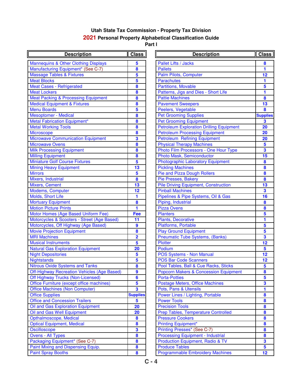| <b>Description</b>                                 | <b>Class</b>     | <b>Description</b>                               | <b>Class</b>            |
|----------------------------------------------------|------------------|--------------------------------------------------|-------------------------|
| <b>Mannequins &amp; Other Clothing Displays</b>    | 5                | Pallet Lifts / Jacks                             | 8                       |
| Manufacturing Equipment* (See C-7)                 | 8                | <b>Pallets</b>                                   | 1                       |
| <b>Massage Tables &amp; Fixtures</b>               | 5                | Palm Pilots, Computer                            | 12                      |
| <b>Meat Blocks</b>                                 | 5                | <b>Parachutes</b>                                | 1                       |
| <b>Meat Cases - Refrigerated</b>                   | 8                | <b>Partitions, Movable</b>                       | 5                       |
| <b>Meat Lockers</b>                                | 8                | Patterns, Jigs and Dies - Short Life             | 1                       |
| <b>Meat Packing &amp; Processing Equipment</b>     | 8                | <b>Pattie Machines</b>                           | $\boldsymbol{8}$        |
| <b>Medical Equipment &amp; Fixtures</b>            | 8                | <b>Pavement Sweepers</b>                         | 13                      |
| <b>Menu Boards</b>                                 | 5                | Peelers, Vegetable                               | 8                       |
| <b>Mesoptomer - Medical</b>                        | $\boldsymbol{8}$ | <b>Pet Grooming Supplies</b>                     | <b>Supplies</b>         |
| <b>Metal Fabrication Equipment*</b>                | 8                | <b>Pet Grooming Equipment</b>                    | $\overline{\mathbf{3}}$ |
| <b>Metal Working Tools</b>                         | 8                | <b>Petroleum Exploration Drilling Equipment</b>  | 20                      |
| Microscope                                         | 8                | <b>Petroleum Processing Equipment</b>            | 20                      |
| <b>Microwave Communication Equipment</b>           | 3                | <b>Petroleum Refining Equipment</b>              | 20                      |
| <b>Microwave Ovens</b>                             | 8                | <b>Physical Therapy Machines</b>                 | $\overline{\mathbf{5}}$ |
| <b>Milk Processing Equipment</b>                   | 8                | Photo Film Processors - One Hour Type            | $\overline{\mathbf{3}}$ |
| <b>Milling Equipment</b>                           | 8                | Photo Mask, Semiconductor                        | 15                      |
| <b>Miniature Golf Course Fixtures</b>              | 5                | <b>Photographic Laboratory Equipment</b>         | $\boldsymbol{8}$        |
| <b>Mining Heavy Equipment</b>                      | 13               | <b>Pickling Machines</b>                         | $\overline{\mathbf{8}}$ |
| <b>Mirrors</b>                                     | 5                | Pie and Pizza Dough Rollers                      | $\bullet$               |
| Mixers, Industrial                                 | $\bf{8}$         | Pie Presses, Bakery                              | $\overline{\mathbf{8}}$ |
| Mixers, Cement                                     | 13               | <b>Pile Driving Equipment, Construction</b>      | 13                      |
| Modems, Computer                                   | 12               | <b>Pinball Machines</b>                          | $\overline{\mathbf{3}}$ |
| Molds, Short Life                                  | 1                | Pipelines & Pipe Systems, Oil & Gas              | 16                      |
| <b>Mortuary Equipment</b>                          | 8                | Piping, Industrial                               | $\boldsymbol{8}$        |
| <b>Motion Picture Prints</b>                       | 1                | <b>Pizza Ovens</b>                               | $\boldsymbol{8}$        |
| Motor Homes (Age Based Uniform Fee)                | Fee              | <b>Planters</b>                                  | 5                       |
| Motorcycles & Scooters - Street (Age Based)        | 11               | Plants, Decorative                               | 1                       |
| Motorcycles, Off Highway (Age Based)               | $\overline{9}$   | Platforms, Portable                              | 5                       |
| <b>Movie Projection Equipment</b>                  | 8                | <b>Play Ground Equipment</b>                     | 5                       |
| <b>MRI Machines</b>                                | $\overline{2}$   | <b>Pneumatic Tube Systems, (Banks)</b>           | $\overline{\mathbf{3}}$ |
| <b>Musical Instruments</b>                         | 5                | <b>Plotter</b>                                   | 12                      |
| <b>Natural Gas Exploration Equipment</b>           | 20               | Podium                                           | $5\phantom{a}$          |
| <b>Night Depositories</b>                          | 5                | POS Systems - Non Manual                         | 12                      |
| <b>Nightstands</b>                                 | 5                | <b>POS Bar Code Scanners</b>                     | 12                      |
| <b>Nitrous Oxide Systems and Tanks</b>             | 8                | Pool Tables, Ball & Cue Racks, Sticks            | $\overline{\mathbf{5}}$ |
| <b>Off-Highway Recreation Vehicles (Age Based)</b> | 9                | <b>Popcorn Makers &amp; Concession Equipment</b> | 8                       |
| Off Highway Trucks (Non-Licensed)                  | $6\phantom{a}$   | <b>Porta-Potties</b>                             | 5                       |
| Office Furniture (except office machines)          | 5                | <b>Postage Meters, Office Machines</b>           | 3                       |
| <b>Office Machines (Non Computer)</b>              | 3                | Pots, Pans & Utensils                            | 1                       |
| <b>Office Supplies</b>                             | <b>Supplies</b>  | Power Lines / Lighting, Portable                 | $\pmb{8}$               |
| <b>Office and Concession Trailers</b>              | 5                | <b>Power Tools</b>                               | $\bf{8}$                |
| Oil and Gas Exploration Equipment                  | 20               | <b>Precision Tools</b>                           | $\boldsymbol{8}$        |
| Oil and Gas Well Equipment                         | 20               | Prep Tables, Temperature Controlled              | $\bf{8}$                |
| Opthalmoscope, Medical                             | $\boldsymbol{8}$ | <b>Pressure Cookers</b>                          | $\bf{8}$                |
| <b>Optical Equipment, Medical</b>                  | $\boldsymbol{8}$ | <b>Printing Equipment*</b>                       | $\bf{8}$                |
| Oscilloscope                                       | 3                | Printing Presses* (See C-7)                      | $\bf{8}$                |
| <b>Ovens - All Types</b>                           | $\bullet$        | <b>Processing Equipment - Industrial</b>         | $\bullet$               |
| Packaging Equipment* (See C-7)                     | $\bullet$        | Production Equipment, Radio & TV                 | $\overline{\mathbf{3}}$ |
| Paint Mixing and Dispensing Equip.                 | $\bf{8}$         | <b>Produce Tables</b>                            | $5\phantom{a}$          |
| <b>Paint Spray Booths</b>                          | $\bullet$        | <b>Programmable Embroidery Machines</b>          | 12                      |

| <b>Description</b>          | <b>Class</b>            | <b>Description</b>                               | <b>Class</b>            |
|-----------------------------|-------------------------|--------------------------------------------------|-------------------------|
| her Clothing Displays       | 5                       | Pallet Lifts / Jacks                             | 8                       |
| uipment* (See C-7)          | 8                       | <b>Pallets</b>                                   | 1                       |
| & Fixtures                  | 5                       | Palm Pilots, Computer                            | 12                      |
|                             | 5                       | <b>Parachutes</b>                                | 1                       |
| rigerated                   | 8                       | <b>Partitions, Movable</b>                       | 5                       |
|                             | 8                       | Patterns, Jigs and Dies - Short Life             | 1                       |
| <b>Processing Equipment</b> | 8                       | <b>Pattie Machines</b>                           | 8                       |
| nt & Fixtures               | 8                       | <b>Pavement Sweepers</b>                         | 13                      |
|                             | 5                       | Peelers, Vegetable                               | 8                       |
| dical                       | 8                       | <b>Pet Grooming Supplies</b>                     | <b>Supplies</b>         |
| Equipment*                  | 8                       | <b>Pet Grooming Equipment</b>                    | 3                       |
| ols                         | 8                       | <b>Petroleum Exploration Drilling Equipment</b>  | 20                      |
|                             | 8                       | <b>Petroleum Processing Equipment</b>            | 20                      |
| <b>unication Equipment</b>  | 3                       | Petroleum Refining Equipment                     | 20                      |
|                             | 8                       | <b>Physical Therapy Machines</b>                 | 5                       |
| <i><b>iquipment</b></i>     | 8                       | Photo Film Processors - One Hour Type            | $\overline{\mathbf{3}}$ |
|                             | 8                       | Photo Mask, Semiconductor                        | 15                      |
| urse Fixtures               | 5                       | <b>Photographic Laboratory Equipment</b>         | 8                       |
| uipment                     | 13                      | <b>Pickling Machines</b>                         | 8                       |
|                             | $5\phantom{a}$          | Pie and Pizza Dough Rollers                      | 8                       |
|                             | 8                       | Pie Presses, Bakery                              | 8                       |
|                             | 13                      | <b>Pile Driving Equipment, Construction</b>      | 13                      |
| ter                         | 12                      | <b>Pinball Machines</b>                          | $\overline{\mathbf{3}}$ |
|                             | 1                       | Pipelines & Pipe Systems, Oil & Gas              | 16                      |
| ent                         | 8                       | Piping, Industrial                               | 8                       |
| ints                        | 1                       | <b>Pizza Ovens</b>                               | 8                       |
| e Based Uniform Fee)        | Fee                     | <b>Planters</b>                                  | 5                       |
| ooters - Street (Age Based) | 11                      | <b>Plants, Decorative</b>                        | 1                       |
| Highway (Age Based)         | 9                       | Platforms, Portable                              | $5\phantom{a}$          |
| Equipment                   | 8                       | <b>Play Ground Equipment</b>                     | 5                       |
|                             | $\overline{2}$          | <b>Pneumatic Tube Systems, (Banks)</b>           | $\overline{\mathbf{3}}$ |
| hts                         | 5                       | <b>Plotter</b>                                   | 12                      |
| <b>Dration Equipment</b>    | 20                      | Podium                                           | $5\phantom{a}$          |
| S                           | 5                       | POS Systems - Non Manual                         | 12                      |
|                             | 5                       | <b>POS Bar Code Scanners</b>                     | 12                      |
| stems and Tanks             | 8                       | Pool Tables, Ball & Cue Racks, Sticks            | 5                       |
| eation Vehicles (Age Based) | 9                       | <b>Popcorn Makers &amp; Concession Equipment</b> | 8                       |
| ks (Non-Licensed)           | 6                       | <b>Porta-Potties</b>                             | 5                       |
| except office machines)     | 5                       | Postage Meters, Office Machines                  | 3                       |
| <b>Non Computer)</b>        | $\overline{\mathbf{3}}$ | Pots, Pans & Utensils                            | 1                       |
|                             | <b>Supplies</b>         | Power Lines / Lighting, Portable                 | 8                       |
| ssion Trailers              | 5                       | <b>Power Tools</b>                               | 8                       |
| <b>Dration Equipment</b>    | 20                      | <b>Precision Tools</b>                           | 8                       |
| Equipment                   | 20                      | Prep Tables, Temperature Controlled              | 8                       |
| <b>Medical</b>              | 8                       | <b>Pressure Cookers</b>                          | 8                       |
| it, Medical                 | 8                       | <b>Printing Equipment*</b>                       | 8                       |
|                             | $\overline{\mathbf{3}}$ | Printing Presses* (See C-7)                      | 8                       |
|                             | 8                       | <b>Processing Equipment - Industrial</b>         | 8                       |
| nent* (See C-7)             | 8                       | Production Equipment, Radio & TV                 | $\overline{\mathbf{3}}$ |
| Dispensing Equip.           | 8                       | <b>Produce Tables</b>                            | $5\phantom{a}$          |
| າຣ                          | 8                       | <b>Programmable Embroidery Machines</b>          | 12                      |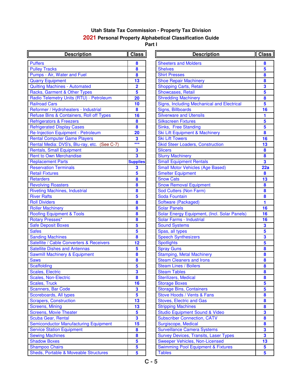| <b>Description</b>                           | <b>Class</b>            | <b>Description</b>                                        | Clas                                        |
|----------------------------------------------|-------------------------|-----------------------------------------------------------|---------------------------------------------|
| <b>Puffers</b>                               | 8                       | <b>Sheeters and Molders</b>                               | 8                                           |
| <b>Pulley Tracks</b>                         | 8                       | <b>Shelves</b>                                            | $\overline{\mathbf{5}}$                     |
| Pumps - Air, Water and Fuel                  | 8                       | <b>Shirt Presses</b>                                      | $\bf{8}$                                    |
| <b>Quarry Equipment</b>                      | 13                      | <b>Shoe Repair Machinery</b>                              | $\boldsymbol{8}$                            |
| <b>Quilting Machines - Automated</b>         | $\overline{\mathbf{2}}$ | <b>Shopping Carts, Retail</b>                             | $\overline{\mathbf{3}}$                     |
| Racks, Garment & Other Types                 | 5                       | Showcases, Retail                                         | $\overline{\mathbf{5}}$                     |
| Radio Telemetry Units (RTU) - Petroleum      | 20                      | <b>Shredding Machinery</b>                                | $\pmb{8}$                                   |
| <b>Railroad Cars</b>                         | 10                      | Signs, Including Mechanical and Electrical                | $\overline{\mathbf{5}}$                     |
| Reformer / Hydroheaters - Industrial         | 8                       | Signs, Billboards                                         | 16                                          |
| Refuse Bins & Containers, Roll off Types     | 16                      | <b>Silverware and Utensils</b>                            | 1                                           |
| <b>Refrigerators &amp; Freezers</b>          | $\boldsymbol{8}$        | <b>Silkscreen Fixtures</b>                                | $\overline{\mathbf{5}}$                     |
| <b>Refrigerated Display Cases</b>            | $\boldsymbol{8}$        | Sinks, Free Standing                                      | $\overline{\mathbf{5}}$                     |
| Re-Injection Equipment - Petroleum           | 20                      | Ski Lift Equipment & Machinery                            | $\boldsymbol{8}$                            |
| <b>Rental Computer Game Players</b>          | 3                       | <b>Ski Lift Towers</b>                                    | 16                                          |
| Rental Media: DVS's, Blu-ray, etc. (See C-7) | $***$                   | <b>Skid Steer Loaders, Construction</b>                   | 13                                          |
| <b>Rentals, Small Equipment</b>              | 3                       | <b>Slicers</b>                                            | $\bf{8}$                                    |
| <b>Rent to Own Merchandise</b>               | 3                       | <b>Slurry Machinery</b>                                   | $\boldsymbol{8}$                            |
| <b>Replacement Parts</b>                     | <b>Supplies</b>         | <b>Small Equipment Rentals</b>                            | $\overline{\mathbf{3}}$                     |
| <b>Reservation Terminals</b>                 | 3                       | <b>Small Motor Vehicles (Age Based)</b>                   | 22a                                         |
| <b>Retail Fixtures</b>                       | 5                       | <b>Smelter Equipment</b>                                  | 8                                           |
| <b>Retarders</b>                             | 8                       | <b>Snow Cats</b>                                          | 13                                          |
| <b>Revolving Roasters</b>                    | 8                       | <b>Snow Removal Equipment</b>                             | $\boldsymbol{8}$                            |
| <b>Riveting Machines, Industrial</b>         | 8                       | Sod Cutters (Non Farm)                                    | $\boldsymbol{8}$                            |
| <b>River Rafts</b>                           | 5                       | Soda Fountain                                             | $\boldsymbol{8}$                            |
| <b>Roll Dividers</b>                         | 8                       | Software (Packaged)                                       | 1.                                          |
| <b>Roller Machinery</b>                      | 8                       | <b>Solar Panels</b>                                       | 16                                          |
| <b>Roofing Equipment &amp; Tools</b>         | 8                       | Solar Energy Equipment, (Incl. Solar Panels)              | 16                                          |
| Rotary Presses*                              | 8                       | Solar Farms - Industrial                                  | 16                                          |
| <b>Safe Deposit Boxes</b>                    | 5                       | <b>Sound Systems</b>                                      | $\overline{\mathbf{3}}$                     |
| <b>Safes</b>                                 | 5                       | Spas, all types                                           | $\overline{\mathbf{5}}$                     |
| <b>Sanding Machines</b>                      | $\boldsymbol{8}$        | <b>Speech Synthesizers</b>                                | $\mathbf{3}$                                |
| Satellite / Cable Converters & Receivers     | 12                      | <b>Spotlights</b>                                         | $\overline{\mathbf{5}}$                     |
| <b>Satellite Dishes and Antennas</b>         | 5                       | <b>Spray Guns</b>                                         | $\boldsymbol{8}$                            |
| <b>Sawmill Machinery &amp; Equipment</b>     | 8                       | <b>Stamping, Metal Machinery</b>                          | $\boldsymbol{8}$                            |
| <b>Saws</b>                                  | 8                       | <b>Steam Cleaners and Irons</b>                           | $\boldsymbol{8}$                            |
| Scaffolding                                  | 5                       | <b>Steam Lines / Boilers</b>                              | 8                                           |
| Scales, Electric                             | 3                       | <b>Steam Tables</b>                                       | $\boldsymbol{8}$                            |
| <b>Scales, Non-Electric</b>                  | 8                       | <b>Sterilizers, Medical</b>                               | 8                                           |
| <b>Scales, Truck</b>                         | 16                      | <b>Storage Boxes</b>                                      | 5                                           |
| <b>Scanners, Bar Code</b>                    | 3                       | <b>Storage Bins, Containers</b>                           | $\overline{\mathbf{5}}$                     |
| Scoreboards, All types                       | 5                       | Stove Hoods / Vents & Fans                                | $\boldsymbol{8}$                            |
| <b>Scrapers, Construction</b>                | 13                      | <b>Stoves, Electric and Gas</b>                           | $\bf{8}$                                    |
| <b>Screens, Mining</b>                       | 13                      | <b>Stripping Machines</b>                                 | $\bullet$                                   |
| <b>Screens, Movie Theater</b>                | 5                       | <b>Studio Equipment Sound &amp; Video</b>                 | $\overline{\mathbf{3}}$                     |
| Scuba Gear, Rental                           | 3                       | <b>Subscriber Connection, CATV</b>                        | $\boldsymbol{8}$                            |
| <b>Semiconductor Manufacturing Equipment</b> | 15<br>8                 | Surgiscope, Medical<br><b>Surveillance Camera Systems</b> | $\boldsymbol{8}$<br>$\overline{\mathbf{3}}$ |
| <b>Service Station Equipment</b>             | 8                       |                                                           | $\overline{\mathbf{3}}$                     |
| <b>Sewing Machines</b>                       | 5                       | <b>Survey Devices, Transits, Laser Types</b>              |                                             |
| <b>Shadow Boxes</b>                          | 5                       | Sweeper Vehicles, Non-Licensed                            | 13                                          |
| <b>Shampoo Chairs</b>                        | 5                       | <b>Swimming Pool Equipment &amp; Fixtures</b>             | $\overline{\mathbf{5}}$                     |
| Sheds, Portable & Moveable Structures        |                         | <b>Tables</b>                                             | 5 <sup>5</sup>                              |

| <b>Description</b>                | Class                   | <b>Description</b>                            | <b>Class</b> |
|-----------------------------------|-------------------------|-----------------------------------------------|--------------|
|                                   | 8                       | <b>Sheeters and Molders</b>                   | 8            |
|                                   | 8                       | <b>Shelves</b>                                | 5            |
| er and Fuel                       | 8                       | <b>Shirt Presses</b>                          | 8            |
|                                   | 13                      | <b>Shoe Repair Machinery</b>                  | 8            |
| <b>- Automated</b>                | $\overline{\mathbf{2}}$ | <b>Shopping Carts, Retail</b>                 | 3            |
| <b>&amp; Other Types</b>          | 5                       | <b>Showcases, Retail</b>                      | 5            |
| Units (RTU) - Petroleum           | 20                      | <b>Shredding Machinery</b>                    | 8            |
|                                   | 10                      | Signs, Including Mechanical and Electrical    | 5            |
| heaters - Industrial              | 8                       | Signs, Billboards                             | 16           |
| intainers, Roll off Types         | 16                      | <b>Silverware and Utensils</b>                | 1            |
| reezers                           | 8                       | <b>Silkscreen Fixtures</b>                    | 5            |
| lay Cases                         | 8                       | Sinks, Free Standing                          | 5            |
| oment - Petroleum                 | 20                      | Ski Lift Equipment & Machinery                | 8            |
| <b>Game Players</b>               | 3                       | <b>Ski Lift Towers</b>                        | 16           |
| S's, Blu-ray, etc. (See C-7)      | $***$                   | <b>Skid Steer Loaders, Construction</b>       | 13           |
| <b>uipment</b>                    | 3                       | <b>Slicers</b>                                | 8            |
| chandise                          | $\overline{\mathbf{3}}$ | <b>Slurry Machinery</b>                       | 8            |
| ts                                | <b>Supplies</b>         | <b>Small Equipment Rentals</b>                | 3            |
| inals                             | 3                       | <b>Small Motor Vehicles (Age Based)</b>       | 22a          |
|                                   | 5                       | <b>Smelter Equipment</b>                      | 8            |
|                                   | 8                       | <b>Snow Cats</b>                              | 13           |
| rs                                | 8                       | <b>Snow Removal Equipment</b>                 | 8            |
| s, Industrial                     | 8                       | Sod Cutters (Non Farm)                        | 8            |
|                                   | 5                       | Soda Fountain                                 | 8            |
|                                   | 8                       | Software (Packaged)                           | 1            |
|                                   | 8                       | <b>Solar Panels</b>                           | 16           |
| nt & Tools                        | 8                       | Solar Energy Equipment, (Incl. Solar Panels)  | 16           |
|                                   | 8                       | Solar Farms - Industrial                      | 16           |
| es                                | 5                       | <b>Sound Systems</b>                          | 3            |
|                                   | 5                       | Spas, all types                               | 5            |
| S                                 | 8                       | <b>Speech Synthesizers</b>                    | 3            |
| <b>Converters &amp; Receivers</b> | 12                      | <b>Spotlights</b>                             | 5            |
| nd Antennas                       | 5                       | <b>Spray Guns</b>                             | 8            |
| y & Equipment                     | 8                       | <b>Stamping, Metal Machinery</b>              | 8            |
|                                   | 8                       | <b>Steam Cleaners and Irons</b>               | 8            |
|                                   | 5                       | <b>Steam Lines / Boilers</b>                  | 8            |
|                                   | 3                       | <b>Steam Tables</b>                           | 8            |
| tric                              | 8                       | Sterilizers, Medical                          | 8            |
|                                   | 16                      | <b>Storage Boxes</b>                          | 5            |
| de                                | 3                       | <b>Storage Bins, Containers</b>               | 5            |
| types                             | 5                       | Stove Hoods / Vents & Fans                    | 8            |
| uction                            | 13                      | <b>Stoves, Electric and Gas</b>               | 8            |
|                                   | 13                      | <b>Stripping Machines</b>                     | 8            |
| heater                            | 5                       | <b>Studio Equipment Sound &amp; Video</b>     | 3            |
| tal                               | 3                       | <b>Subscriber Connection, CATV</b>            | 8            |
| anufacturing Equipment            | 15                      | Surgiscope, Medical                           | 8            |
| quipment                          | 8                       | <b>Surveillance Camera Systems</b>            | 3            |
|                                   | 8                       | <b>Survey Devices, Transits, Laser Types</b>  | 3            |
|                                   | 5                       | <b>Sweeper Vehicles, Non-Licensed</b>         | 13           |
|                                   | 5                       | <b>Swimming Pool Equipment &amp; Fixtures</b> | 5            |
| <b>Moveable Structures</b>        | 5                       | <b>Tables</b>                                 | 5            |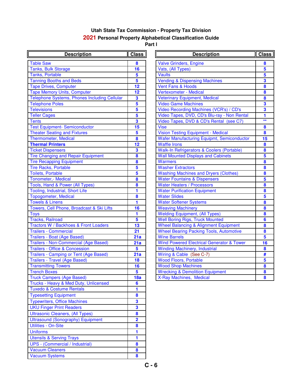| <b>Description</b>                               | <b>Class</b>            | <b>Description</b>                                   | <b>Clas</b>                 |
|--------------------------------------------------|-------------------------|------------------------------------------------------|-----------------------------|
| <b>Table Saw</b>                                 | 8                       | <b>Valve Grinders, Engine</b>                        | $\bf{8}$                    |
| Tanks, Bulk Storage                              | 16                      | Vats, (All Types)                                    | $\overline{\mathbf{5}}$     |
| Tanks, Portable                                  | 5                       | <b>Vaults</b>                                        | $\overline{\mathbf{5}}$     |
| <b>Tanning Booths and Beds</b>                   | $\overline{\mathbf{5}}$ | <b>Vending &amp; Dispensing Machines</b>             | $\mathbf{3}$                |
| <b>Tape Drives, Computer</b>                     | 12                      | <b>Vent Fans &amp; Hoods</b>                         | $\bf{8}$                    |
| <b>Tape Memory Units, Computer</b>               | 12                      | Vertexometer - Medical                               | $\pmb{8}$                   |
| Telephone Systems, Phones Including Cellular     | $\overline{\mathbf{3}}$ | <b>Veterinary Equipment, Medical</b>                 | $\pmb{8}$                   |
| <b>Telephone Poles</b>                           | 5                       | <b>Video Game Machines</b>                           | $\overline{\mathbf{3}}$     |
| <b>Televisions</b>                               | 5                       | Video Recording Machines (VCR's) / CD's              | $\overline{\mathbf{3}}$     |
| <b>Teller Cages</b>                              | $\overline{\mathbf{5}}$ | Video Tapes, DVD, CD's Blu-ray - Non Rental          | $\overline{\mathbf{1}}$     |
| <b>Tents</b>                                     | $\overline{\mathbf{3}}$ | Video Tapes, DVD & CD's Rental (see C7)              | $\star\star$                |
| <b>Test Equipment- Semiconductor</b>             | 15                      | <b>Vise</b>                                          | $\bf{8}$                    |
| <b>Theater Seating and Fixtures</b>              | 5                       | <b>Vision Testing Equipment - Medical</b>            | $\bf{8}$                    |
| <b>Thermometer, Medical</b>                      | 8                       | Wafer Manufacturing Equipmt, Semiconductor           | 15                          |
| <b>Thermal Printers</b>                          | $\overline{12}$         | <b>Waffle Irons</b>                                  | 8                           |
| <b>Ticket Dispensers</b>                         | $\overline{\mathbf{3}}$ | Walk-In Refrigerators & Coolers (Portable)           | $\bf{8}$                    |
| <b>Tire Changing and Repair Equipment</b>        | 8                       | <b>Wall Mounted Displays and Cabinets</b>            | $\overline{\mathbf{5}}$     |
| <b>Tire Recapping Equipment</b>                  | 8                       | <b>Warmers</b>                                       | $\overline{\mathbf{8}}$     |
| <b>Tire Racks, Portable</b>                      | 5                       | <b>Washer Extractors</b>                             | $\pmb{8}$                   |
| Toilets, Portable                                | 5                       | <b>Washing Machines and Dryers (Clothes)</b>         | $\bullet$                   |
| Tonometer, - Medical                             | 8                       | <b>Water Fountains &amp; Dispensers</b>              | $\overline{\mathbf{5}}$     |
| Tools, Hand & Power (All Types)                  | 8                       | <b>Water Heaters / Processors</b>                    | $\bf{8}$                    |
| Tooling, Industrial, Short Life                  | 1                       | <b>Water Purification Equipment</b>                  | $\bf{8}$                    |
| <b>Topogometer, Medical</b>                      | 8                       | <b>Water Slides</b>                                  | $\overline{\mathbf{5}}$     |
| <b>Towels &amp; Linens</b>                       | $\blacksquare$          | <b>Water Softener Systems</b>                        | $\bf{8}$                    |
| Towers, Cell Phone, Broadcast & Ski Lifts        | 16                      | <b>Weaving Machinery</b>                             | $\bullet$                   |
| <b>Toys</b>                                      | 1                       | <b>Welding Equipment, (All Types)</b>                | $\pmb{8}$                   |
| <b>Tracks, Railroad</b>                          | $\overline{\mathbf{5}}$ | <b>Well Boring Rigs, Truck Mounted</b>               | $6\phantom{a}$              |
| <b>Tractors W / Backhoes &amp; Front Loaders</b> | 13                      | <b>Wheel Balancing &amp; Alignment Equipment</b>     | $\boldsymbol{8}$            |
| <b>Trailers - Commercial</b>                     | 21                      | <b>Wheel Bearing Packing Tools, Automotive</b>       | $\boldsymbol{8}$            |
| Trailers - Boat (Age Based)                      | 21a                     | <b>Wine Barrels</b>                                  | $\overline{\mathbf{5}}$     |
| Trailers - Non-Commercial (Age Based)            | 21a                     | <b>Wind Powered Electrical Generator &amp; Tower</b> | 16                          |
| <b>Trailers - Office &amp; Concession</b>        | $5\phantom{a}$          | <b>Winding Machinery, Industrial</b>                 | 8                           |
| Trailers - Camping or Tent (Age Based)           | 21a                     | Wiring & Cable (See C-7)                             | $\overline{\boldsymbol{r}}$ |
| Trailers - Travel (Age Based)                    | 18                      | <b>Wood Floors, Portable</b>                         | $\overline{\mathbf{5}}$     |
| <b>Transmitting Towers</b>                       | 16                      | <b>Wood Shop Machines</b>                            | $\pmb{8}$                   |
| <b>Trench Boxes</b>                              | $\overline{\mathbf{5}}$ | <b>Wrecking &amp; Demolition Equipment</b>           | 8                           |
| <b>Truck Campers (Age Based)</b>                 | 18a                     | X-Ray Machines, Medical                              | $\bf{8}$                    |
| Trucks - Heavy & Med Duty, Unlicensed            | $6\phantom{a}$          |                                                      |                             |
| <b>Tuxedo &amp; Costume Rentals</b>              | 1                       |                                                      |                             |
| <b>Typesetting Equipment</b>                     | 8                       |                                                      |                             |
| <b>Typewriters, Office Machines</b>              | $\overline{\mathbf{3}}$ |                                                      |                             |
| <b>UKU Finger Print Readers</b>                  | $\overline{\mathbf{3}}$ |                                                      |                             |
| <b>Ultrasonic Cleaners, (All Types)</b>          | 8                       |                                                      |                             |
| <b>Ultrasound (Sonography) Equipment</b>         | $\overline{\mathbf{2}}$ |                                                      |                             |
| Utilities - On-Site                              | 8                       |                                                      |                             |
| <b>Uniforms</b>                                  | 1                       |                                                      |                             |
| <b>Utensils &amp; Serving Trays</b>              | 1                       |                                                      |                             |
| <b>UPS</b> - (Commercial / Industrial)           | 8                       |                                                      |                             |
| <b>Vacuum Cleaners</b>                           | 8                       |                                                      |                             |
| <b>Vacuum Systems</b>                            | 8                       |                                                      |                             |
|                                                  |                         |                                                      |                             |

| <b>Description</b>            | ∥ Class II              | <b>Description</b>                                   | <b>Class</b>            |
|-------------------------------|-------------------------|------------------------------------------------------|-------------------------|
|                               | 8                       | <b>Valve Grinders, Engine</b>                        | 8                       |
| ige                           | 16                      | Vats, (All Types)                                    | $5\phantom{a}$          |
|                               | $5\phantom{a}$          | <b>Vaults</b>                                        | $\overline{\mathbf{5}}$ |
| nd Beds                       | $\overline{\mathbf{5}}$ | <b>Vending &amp; Dispensing Machines</b>             | 3                       |
| puter                         | 12                      | <b>Vent Fans &amp; Hoods</b>                         | 8                       |
| its, Computer                 | 12                      | Vertexometer - Medical                               | 8                       |
| ns, Phones Including Cellular | $\overline{\mathbf{3}}$ | <b>Veterinary Equipment, Medical</b>                 | 8                       |
|                               | 5                       | <b>Video Game Machines</b>                           | $\overline{\mathbf{3}}$ |
|                               | 5                       | Video Recording Machines (VCR's) / CD's              | $\overline{\mathbf{3}}$ |
|                               | $\overline{\mathbf{5}}$ | Video Tapes, DVD, CD's Blu-ray - Non Rental          | 1                       |
|                               | $\overline{\mathbf{3}}$ | Video Tapes, DVD & CD's Rental (see C7)              | $\star\star$            |
| Semiconductor                 | 15                      | <b>Vise</b>                                          | 8                       |
| <b>and Fixtures</b>           | 5                       | <b>Vision Testing Equipment - Medical</b>            | 8                       |
| dical                         | 8                       | Wafer Manufacturing Equipmt, Semiconductor           | 15                      |
|                               | $\overline{12}$         | <b>Waffle Irons</b>                                  | 8                       |
|                               | 3                       | Walk-In Refrigerators & Coolers (Portable)           | 8                       |
| d Repair Equipment            | 8                       | <b>Wall Mounted Displays and Cabinets</b>            | 5                       |
| quipment                      | 8                       | <b>Warmers</b>                                       | 8                       |
| ble                           | $\overline{\mathbf{5}}$ | <b>Washer Extractors</b>                             | $\overline{\mathbf{8}}$ |
|                               | $\overline{\mathbf{5}}$ | <b>Washing Machines and Dryers (Clothes)</b>         | 8                       |
| ical                          | 8                       | <b>Water Fountains &amp; Dispensers</b>              | $\overline{\mathbf{5}}$ |
| wer (All Types)               | 8                       | <b>Water Heaters / Processors</b>                    | 8                       |
| I, Short Life                 | 1                       | <b>Water Purification Equipment</b>                  | 8                       |
| dical                         | 8                       | <b>Water Slides</b>                                  | 5                       |
|                               | 1                       | <b>Water Softener Systems</b>                        | 8                       |
| ne, Broadcast & Ski Lifts     | 16                      | <b>Weaving Machinery</b>                             | 8                       |
|                               | 1                       | <b>Welding Equipment, (All Types)</b>                | 8                       |
|                               | 5                       | <b>Well Boring Rigs, Truck Mounted</b>               | $6\phantom{1}6$         |
| choes & Front Loaders         | $\overline{13}$         | <b>Wheel Balancing &amp; Alignment Equipment</b>     | 8                       |
| rcial                         | $\overline{21}$         | <b>Wheel Bearing Packing Tools, Automotive</b>       | $\overline{\mathbf{8}}$ |
| ge Based)                     | 21a                     | <b>Wine Barrels</b>                                  | 5                       |
| mmercial (Age Based)          | 21a                     | <b>Wind Powered Electrical Generator &amp; Tower</b> | 16                      |
| Concession                    | 5                       | <b>Winding Machinery, Industrial</b>                 | 8                       |
| g or Tent (Age Based)         | 21a                     | Wiring & Cable (See C-7)                             | #                       |
| Age Based)                    | 18                      | <b>Wood Floors, Portable</b>                         | 5                       |
| ers                           | 16                      | <b>Wood Shop Machines</b>                            | 8                       |
|                               | 5                       | <b>Wrecking &amp; Demolition Equipment</b>           | 8                       |
| Age Based)                    | 18a                     | X-Ray Machines, Medical                              | 8                       |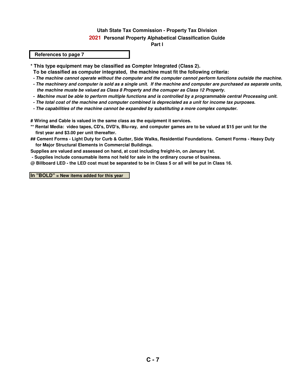#### **2021 Personal Property Alphabetical Classification Guide**

**Part l**

#### **References to page 7**

- **\* This type equipment may be classified as Compter Integrated (Class 2).**
- **To be classified as computer integrated, the machine must fit the following criteria:**
- **The machine cannot operate without the computer and the computer cannot perform functions outside the machine.**
- **The machinery and computer is sold as a single unit. If the machine and computer are purchased as separate units, the machine muste be valued as Class 8 Property and the comuper as Class 12 Property.**
- **Machine must be able to perform multiple functions and is controlled by a programmable central Processing unit.**
- **The total cost of the machine and computer combined is depreciated as a unit for income tax purposes.**
- **The capabilities of the machine cannot be expanded by substituting a more complex computer.**

**# Wiring and Cable is valued in the same class as the equipment it services.**

- **\*\* Rental Media: video tapes, CD's, DVD's, Blu-ray, and computer games are to be valued at \$15 per unit for the first year and \$3.00 per unit thereafter.**
- **## Cement Forms Light Duty for Curb & Gutter, Side Walks, Residential Foundations. Cement Forms Heavy Duty for Major Structural Elements in Commercial Buildings.**

**Supplies are valued and assessed on hand, at cost including freight-in, on January 1st.** 

- **Supplies include consumable items not held for sale in the ordinary course of business.**
- **@ Billboard LED the LED cost must be separated to be in Class 5 or all will be put in Class 16.**

**In "BOLD" = New items added for this year**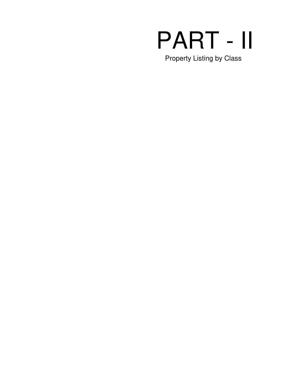# PART - II Property Listing by Class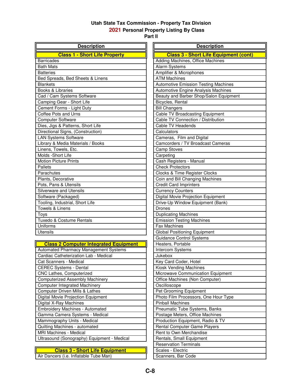**2021 Personal Property Listing By Class**

**Part ll**

| <b>Description</b>                           | <b>Description</b>                           |
|----------------------------------------------|----------------------------------------------|
| <b>Class 1 - Short Life Property</b>         | <b>Class 3 - Short Life Equipment (cont)</b> |
| <b>Barricades</b>                            | Adding Machines, Office Machines             |
| <b>Bath Mats</b>                             | Alarm Systems                                |
| <b>Batteries</b>                             | Amplifier & Microphones                      |
| Bed Spreads, Bed Sheets & Linens             | <b>ATM Machines</b>                          |
| <b>Blankets</b>                              | <b>Automotive Emission Testing Machines</b>  |
| Books & Libraries                            | Automotive Engine Analysis Machines          |
| Cad / Cam Systems Software                   | Beauty and Barber Shop/Salon Equipment       |
| Camping Gear - Short Life                    | Bicycles, Rental                             |
| Cement Forms - Light Duty                    | <b>Bill Changers</b>                         |
| Coffee Pots and Urns                         | Cable TV Broadcasting Equipment              |
| <b>Computer Software</b>                     | Cable TV Connection / Distribution           |
| Dies, Jigs & Patterns, Short Life            | Cable TV Headends                            |
| Directional Signs, (Construction)            | Calculators                                  |
| <b>LAN Systems Software</b>                  | Cameras, Film and Digital                    |
| Library & Media Materials / Books            | Camcorders / TV Broadcast Cameras            |
| Linens, Towels, Etc.                         | <b>Camp Stoves</b>                           |
| Molds -Short Life                            | Carpeting                                    |
| <b>Motion Picture Prints</b>                 | Cash Registers - Manual                      |
| Pallets                                      | <b>Check Protectors</b>                      |
| Parachutes                                   | Clocks & Time Register Clocks                |
| Plants, Decorative                           | Coin and Bill Changing Machines              |
| Pots, Pans & Utensils                        | <b>Credit Card Imprinters</b>                |
| <b>Silverware and Utensils</b>               | <b>Currency Counters</b>                     |
| Software (Packaged)                          | Digital Movie Projection Equipment           |
| Tooling, Industrial, Short Life              | Drive-Up Window Equipment (Bank)             |
| Towels & Linens                              | <b>Drones</b>                                |
| Toys                                         | <b>Duplicating Machines</b>                  |
| Tuxedo & Costume Rentals                     | <b>Emission Testing Machines</b>             |
| Uniforms                                     | <b>Fax Machines</b>                          |
| <b>Utensils</b>                              | <b>Global Positioning Equipment</b>          |
|                                              | <b>Guidance Control Systems</b>              |
| <b>Class 2 Computer Integrated Equipment</b> | Heaters, Portable                            |
| Automated Pharmacy Management Systems        | <b>Intercom Systems</b>                      |
| Cardiac Catheterization Lab - Medical        | Jukebox                                      |
| Cat Scanners - Medical                       | Key Card Coder, Hotel                        |
| <b>CEREC Systems - Dental</b>                | Kiosk Vending Machines                       |
| CNC Lathes, Computerized                     | Microwave Communication Equipment            |
| <b>Computerized Assembly Machinery</b>       | Office Machines (Non Computer)               |
| <b>Computer Integrated Machinery</b>         | Oscilloscope                                 |

| Computer Driven Mills & Lathes              | Pet Grooming Equipment               |
|---------------------------------------------|--------------------------------------|
| Digital Movie Projection Equipment          | Photo Film Processors, One Hour Type |
| Digital X-Ray Machines                      | <b>Pinball Machines</b>              |
| <b>Embroidery Machines - Automated</b>      | Pneumatic Tube Systems, Banks        |
| Gamma Camera Systems - Medical              | Postage Meters, Office Machines      |
| Mammography Units - Medical                 | Production Equipment, Radio & TV     |
| Quilting Machines - automated               | <b>Rental Computer Game Players</b>  |
| MRI Machines - Medical                      | Rent to Own Merchandise              |
| Ultrasound (Sonography) Equipment - Medical | Rentals, Small Equipment             |
|                                             |                                      |

## **Class 3 - Short Life Equipment Class 3 - Short Life Equipment Algebra 2014** Scales - Electric

Air Dancers (i.e. Inflatable Tube Man) | Scanners, Bar Code

| <b>Duplicating Machines</b>          |
|--------------------------------------|
| <b>Emission Testing Machines</b>     |
| <b>Fax Machines</b>                  |
| <b>Global Positioning Equipment</b>  |
| <b>Guidance Control Systems</b>      |
| Heaters, Portable                    |
| Intercom Systems                     |
| Jukebox                              |
| Key Card Coder, Hotel                |
| Kiosk Vending Machines               |
| Microwave Communication Equipment    |
| Office Machines (Non Computer)       |
| Oscilloscope                         |
| Pet Grooming Equipment               |
| Photo Film Processors, One Hour Type |
| <b>Pinball Machines</b>              |
| Pneumatic Tube Systems, Banks        |
| Postage Meters, Office Machines      |
| Production Equipment, Radio & TV     |
| Rental Computer Game Players         |
| Rent to Own Merchandise              |
| Rentals, Small Equipment             |
| <b>Reservation Terminals</b>         |
| Scales - Electric                    |
| Scanners, Bar Code                   |
|                                      |
|                                      |
|                                      |
|                                      |
|                                      |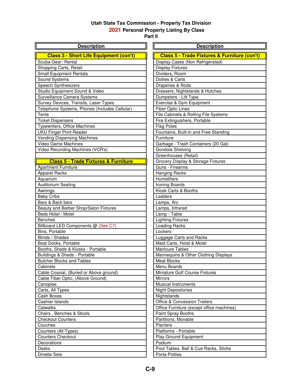# **2021 Personal Property Listing By Class**

| <b>Description</b>                                          | <b>Description</b>                                      |
|-------------------------------------------------------------|---------------------------------------------------------|
| <b>Class 3 - Short Life Equipment (con't)</b>               | <b>Class 5 - Trade Fixtures &amp; Furniture (con't)</b> |
| Scuba Gear- Rental                                          | Display Cases (Non Refrigerated)                        |
| Shopping Carts, Retail                                      | <b>Display Fixtures</b>                                 |
| Small Equipment Rentals                                     | Dividers, Room                                          |
| Sound Systems                                               | Dollies & Carts                                         |
| Speech Synthesizers                                         | Draperies & Rods                                        |
| Studio Equipment Sound & Video                              | Dressers, Nightstands & Hutches                         |
| Surveillance Camera Systems                                 | Dumpsters - Lift Type                                   |
| Survey Devices, Transits, Laser Types                       | Exercise & Gym Equipment                                |
| Telephone Systems, Phones (Includes Cellular)               | <b>Fiber Optic Lines</b>                                |
| Tents                                                       | File Cabinets & Rolling File Systems                    |
| <b>Ticket Dispensers</b>                                    | Fire Extinguishers, Portable                            |
| Typewriters, Office Machines                                | <b>Flag Poles</b>                                       |
| <b>UKU Finger Print Reader</b>                              | Fountains, Built-in and Free Standing                   |
| <b>Vending Dispensing Machines</b>                          | Furniture                                               |
| Video Game Machines                                         | Garbage - Trash Containers (20 Gal)                     |
| Video Recording Machines (VCR's)                            | Gondola Shelving                                        |
|                                                             | Greenhouses (Retail)                                    |
| <b>Class 5 - Trade Fixtures &amp; Furniture</b>             | Grocery Display & Storage Fixtures                      |
| <b>Apartment Furniture</b>                                  | Guns - Firearms                                         |
| Apparel Racks                                               | <b>Hanging Racks</b>                                    |
| Aquarium                                                    | Humidifiers                                             |
|                                                             |                                                         |
| <b>Auditorium Seating</b>                                   | Ironing Boards                                          |
| Awnings                                                     | Kiosk Carts & Booths                                    |
| <b>Baby Cribs</b>                                           | Ladders                                                 |
| Bars & Back bars                                            | Lamps, Arc                                              |
| Beauty and Barber Shop/Salon Fixtures<br>Beds Hotel / Motel | Lamps, Infrared                                         |
|                                                             | Lamp - Table                                            |
| <b>Benches</b>                                              | <b>Lighting Fixtures</b>                                |
| Billboard LED Components @ (See C7)<br>Bins, Portable       | Loading Racks<br>Lockers                                |
| Blinds / Shades                                             |                                                         |
|                                                             | Luggage Carts and Racks                                 |
| Boat Docks, Portable<br>Booths, Sheds & Kiosks - Portable   | Maid Carts, Hotel & Motel<br><b>Manicure Tables</b>     |
|                                                             |                                                         |
| Buildings & Sheds - Portable                                | Mannequins & Other Clothing Displays                    |
| <b>Butcher Blocks and Tables</b>                            | <b>Meat Blocks</b>                                      |
| Cabinets                                                    | Menu Boards                                             |
| Cable Coaxial, (Buried or Above ground)                     | Miniature Golf Course Fixtures                          |
| Cable Fiber Optic, (Above Ground)                           | <b>Mirrors</b>                                          |
| Canopies                                                    | <b>Musical Instruments</b>                              |
| Carts, All Types                                            | <b>Night Depositories</b>                               |
| Cash Boxes                                                  | Nightstands                                             |
| Cashier Islands                                             | <b>Office &amp; Concession Trailers</b>                 |
| Catwalks                                                    | Office Furniture (except office machines)               |
| Chairs, Benches & Stools                                    | Paint Spray Booths                                      |
| <b>Checkout Counters</b>                                    | Partitions, Movable                                     |
| Couches                                                     | Planters                                                |
| Counters (All Types)                                        | Platforms - Portable                                    |
| <b>Counters Checkout</b>                                    | Play Ground Equipment                                   |
| Decorations                                                 | Podium                                                  |
| Desks                                                       | Pool Tables, Ball & Cue Racks, Sticks                   |
| <b>Dinette Sets</b>                                         | Porta-Potties                                           |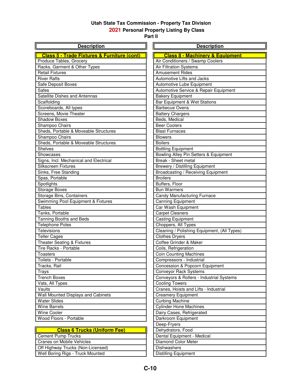# **2021 Personal Property Listing By Class**

**Part ll**

| <b>Description</b>                                     | <b>Description</b>                          |
|--------------------------------------------------------|---------------------------------------------|
| <b>Class 5 - Trade Fixtures &amp; Furniture (cont)</b> | <b>Class 8 - Machinery &amp; Equipment</b>  |
| Produce Tables, Grocery                                | Air Conditioners / Swamp Coolers            |
| Racks, Garment & Other Types                           | Air Filtration Systems                      |
| <b>Retail Fixtures</b>                                 | <b>Amusement Rides</b>                      |
| <b>River Rafts</b>                                     | Automotive Lifts and Jacks                  |
| Safe Deposit Boxes                                     | Automotive Lube Equipment                   |
| Safes                                                  | Automotive Service & Repair Equipment       |
| Satellite Dishes and Antennas                          | <b>Bakery Equipment</b>                     |
| Scaffolding                                            | Bar Equipment & Wet Stations                |
| Scoreboards, All types                                 | <b>Barbecue Ovens</b>                       |
| Screens, Movie Theater                                 | <b>Battery Chargers</b>                     |
| Shadow Boxes                                           | Beds, Medical                               |
| Shampoo Chairs                                         | <b>Beer Coolers</b>                         |
| Sheds, Portable & Moveable Structures                  | <b>Blast Furnaces</b>                       |
| Shampoo Chairs                                         | <b>Blowers</b>                              |
| Sheds, Portable & Moveable Structures                  | <b>Boilers</b>                              |
| <b>Shelves</b>                                         | <b>Bottling Equipment</b>                   |
| Showcases                                              | Bowling Alley Pin Setters & Equipment       |
| Signs, Incl. Mechanical and Electrical                 | Break - Sheet metal                         |
| <b>Silkscreen Fixtures</b>                             | <b>Brewery / Distilling Equipment</b>       |
| Sinks, Free Standing                                   | Broadcasting / Receiving Equipment          |
| Spas, Portable                                         | <b>Broilers</b>                             |
| Spotlights                                             | Buffers, Floor                              |
| <b>Storage Boxes</b>                                   | <b>Bun Warmers</b>                          |
| Storage Bins, Containers                               | Candy Manufacturing Furnace                 |
| Swimming Pool Equipment & Fixtures                     | Canning Equipment                           |
| <b>Tables</b>                                          | Car Wash Equipment                          |
| Tanks, Portable                                        | <b>Carpet Cleaners</b>                      |
| Tanning Booths and Beds                                | <b>Casting Equipment</b>                    |
| <b>Telephone Poles</b>                                 | Choppers, All Types                         |
| Televisions                                            | Cleaning / Polishing Equipment, (All Types) |
| <b>Teller Cages</b>                                    | <b>Clothes Dryers</b>                       |
| <b>Theater Seating &amp; Fixtures</b>                  | Coffee Grinder & Maker                      |
| Tire Racks - Portable                                  | Coils, Refrigeration                        |
| <b>Toasters</b>                                        | Coin Counting Machines                      |
| Toilets - Portable                                     | Compressors - Industrial                    |
| Tracks, Rail                                           | Concession & Popcorn Equipment              |
| Trays                                                  | <b>Conveyor Rack Systems</b>                |
| <b>Trench Boxes</b>                                    | Conveyors & Rollers - Industrial Systems    |
| Vats, All Types                                        | <b>Cooling Towers</b>                       |
| Vaults                                                 | Cranes, Hoists and Lifts - Industrial       |
| Wall Mounted Displays and Cabinets                     | <b>Creamery Equipment</b>                   |
| <b>Water Slides</b>                                    | <b>Curbing Machine</b>                      |
| <b>Wine Barrels</b>                                    | <b>Cylinder Hone Machines</b>               |
| Wine Cooler                                            | Dairy Cases, Refrigerated                   |
| Wood Floors - Portable                                 | Darkroom Equipment                          |
|                                                        | Deep-Fryers                                 |
| <b>Class 6 Trucks (Uniform Fee)</b>                    | Dehydrators, Food                           |
| <b>Cement Pump Trucks</b>                              | Dental Equipment - Medical                  |
| <b>Cranes on Mobile Vehicles</b>                       | Diamond Color Meter                         |
|                                                        |                                             |

Off Highway Trucks (Non-Licensed) Dishwashers Well Boring Rigs - Truck Mounted Distilling Equipment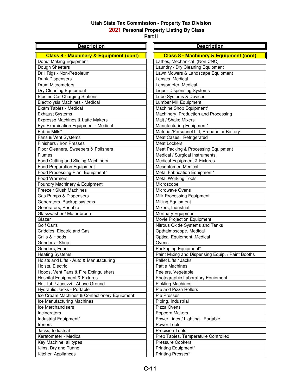#### **2021 Personal Property Listing By Class**

| <b>Description</b>                                | <b>Description</b>                                |
|---------------------------------------------------|---------------------------------------------------|
| <b>Class 8 - Machinery &amp; Equipment (cont)</b> | <b>Class 8 - Machinery &amp; Equipment (cont)</b> |
| Donut Making Equipment                            | Lathes, Mechanical (Non CNC)                      |
| Dough Sheeters                                    | Laundry / Dry Cleaning Equipment                  |
| Drill Rigs - Non-Petroleum                        | Lawn Mowers & Landscape Equipment                 |
| <b>Drink Dispensers</b>                           | Lenses, Medical                                   |
| <b>Drum Micrometers</b>                           | Lensometer, Medical                               |
| Dry Cleaning Equipment                            | <b>Liquor Dispensing Systems</b>                  |
| <b>Electric Car Charging Stations</b>             | Lube Systems & Devices                            |
| Electrolysis Machines - Medical                   | Lumber Mill Equipment                             |
| Exam Tables - Medical                             | Machine Shop Equipment*                           |
| <b>Exhaust Systems</b>                            | Machinery, Production and Processing              |
| Expresso Machines & Latte Makers                  | Malt / Shake Mixers                               |
| Eye Examination Equipment - Medical               | Manufacturing Equipment*                          |
| Fabric Mills*                                     | Material/Personnel Lift, Propane or Battery       |
| Fans & Vent Systems                               | Meat Cases, Refrigerated                          |
| Finishers / Iron Presses                          | Meat Lockers                                      |
| Floor Cleaners, Sweepers & Polishers              | Meat Packing & Processing Equipment               |
| <b>Flumes</b>                                     | Medical / Surgical Instruments                    |
| Food Cutting and Slicing Machinery                | Medical Equipment & Fixtures                      |
| <b>Food Preparation Equipment</b>                 | Mesoptomer, Medical                               |
| Food Processing Plant Equipment*                  | Metal Fabrication Equipment*                      |
| Food Warmers                                      | <b>Metal Working Tools</b>                        |
| Foundry Machinery & Equipment                     | Microscope                                        |
| Freeze / Slush Machines                           | Microwave Ovens                                   |
| Gas Pumps & Dispensers                            | Milk Processing Equipment                         |
| Generators, Backup systems                        | Milling Equipment                                 |
| Generators, Portable                              | Mixers, Industrial                                |
| Glasswasher / Motor brush                         | Mortuary Equipment                                |
| Glazer                                            | Movie Projection Equipment                        |
| <b>Golf Carts</b>                                 | Nitrous Oxide Systems and Tanks                   |
| Griddles, Electric and Gas                        | Opthalmoscope, Medical                            |
| Grills & Hoods                                    | Optical Equipment, Medical                        |
| Grinders - Shop                                   | Ovens                                             |
| Grinders, Food                                    | Packaging Equipment*                              |
| <b>Heating Systems</b>                            | Paint Mixing and Dispensing Equip. / Paint Booths |
| Hoists and Lifts - Auto & Manufacturing           | Pallet Lifts / Jacks                              |
| Hoists, Electric                                  | <b>Pattie Machines</b>                            |
| Hoods, Vent Fans & Fire Extinguishers             | Peelers, Vegetable                                |
| Hospital Equipment & Fixtures                     | Photographic Laboratory Equipment                 |
| Hot Tub / Jacuzzi - Above Ground                  | <b>Pickling Machines</b>                          |
| Hydraulic Jacks - Portable                        | Pie and Pizza Rollers                             |
| Ice Cream Machines & Confectionery Equipment      | Pie Presses                                       |
| Ice Manufacturing Machines                        | Piping, Industrial                                |
| Ice Merchandisers                                 | Pizza Ovens                                       |
| Incinerators                                      | Popcorn Makers                                    |
| Industrial Equipment*                             | Power Lines / Lighting - Portable                 |
| Ironers                                           | Power Tools                                       |
| Jacks, Industrial                                 | <b>Precision Tools</b>                            |
| Keratometer - Medical                             | Prep Tables, Temperature Controlled               |
| Key Machine, all types                            | <b>Pressure Cookers</b>                           |
| Kilns, Dry and Tunnel                             | Printing Equipment*                               |
| Kitchen Appliances                                | Printing Presses*                                 |
|                                                   |                                                   |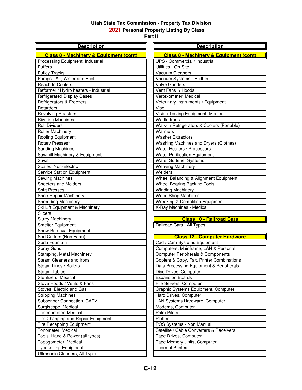# **2021 Personal Property Listing By Class**

| <b>Description</b>                                | <b>Description</b>                                |
|---------------------------------------------------|---------------------------------------------------|
| <b>Class 8 - Machinery &amp; Equipment (cont)</b> | <b>Class 8 - Machinery &amp; Equipment (cont)</b> |
| Processing Equipment, Industrial                  | UPS - Commercial / Industrial                     |
| Puffers                                           | Utilities - On-Site                               |
| <b>Pulley Tracks</b>                              | Vacuum Cleaners                                   |
| Pumps - Air, Water and Fuel                       | Vacuum Systems - Built-In                         |
| Reach In Coolers                                  | <b>Valve Grinders</b>                             |
| Reformer / Hydro heaters - Industrial             | Vent Fans & Hoods                                 |
| <b>Refrigerated Display Cases</b>                 | Vertexometer, Medical                             |
| Refrigerators & Freezers                          | Veterinary Instruments / Equipment                |
| Retarders                                         | Vise                                              |
| <b>Revolving Roasters</b>                         | Vision Testing Equipment- Medical                 |
| <b>Riveting Machines</b>                          | Waffle Irons                                      |
| <b>Roll Dividers</b>                              | Walk-In Refrigerators & Coolers (Portable)        |
| <b>Roller Machinery</b>                           | Warmers                                           |
| Roofing Equipment                                 | <b>Washer Extractors</b>                          |
| Rotary Presses*                                   | Washing Machines and Dryers (Clothes)             |
| <b>Sanding Machines</b>                           | Water Heaters / Processors                        |
| Sawmill Machinery & Equipment                     | <b>Water Purification Equipment</b>               |
| Saws                                              | Water Softener Systems                            |
| Scales, Non-Electric                              | <b>Weaving Machinery</b>                          |
| <b>Service Station Equipment</b>                  | Welders                                           |
| Sewing Machines                                   | Wheel Balancing & Alignment Equipment             |
| <b>Sheeters and Molders</b>                       | Wheel Bearing Packing Tools                       |
| <b>Shirt Presses</b>                              | <b>Winding Machinery</b>                          |
| Shoe Repair Machinery                             | <b>Wood Shop Machines</b>                         |
| <b>Shredding Machinery</b>                        | <b>Wrecking &amp; Demolition Equipment</b>        |
| Ski Lift Equipment & Machinery                    | X-Ray Machines - Medical                          |
| <b>Slicers</b>                                    |                                                   |
| <b>Slurry Machinery</b>                           | <b>Class 10 - Railroad Cars</b>                   |
| Smelter Equipment                                 | Railroad Cars - All Types                         |
| Snow Removal Equipment                            |                                                   |
| Sod Cutters (Non Farm)                            | <b>Class 12 - Computer Hardware</b>               |
| Soda Fountain                                     | Cad / Cam Systems Equipment                       |
| Spray Guns                                        | Computers, Mainframe, LAN & Personal              |
| Stamping, Metal Machinery                         | <b>Computer Peripherals &amp; Components</b>      |
| Steam Cleaners and Irons                          | Copiers & Copy, Fax, Printer Combinations         |
| Steam Lines / Boilers                             | Data Processing Equipment & Peripherals           |
| <b>Steam Tables</b>                               | Disc Drives, Computer                             |
| Sterilizers, Medical                              | <b>Expansion Boards</b>                           |
| Stove Hoods / Vents & Fans                        | File Servers, Computer                            |
| Stoves, Electric and Gas                          | Graphic Systems Equipment, Computer               |
| <b>Stripping Machines</b>                         | Hard Drives, Computer                             |
| Subscriber Connection, CATV                       | LAN Systems Hardware, Computer                    |
| Surgiscope, Medical                               | Modems, Computer                                  |
| Thermometer, Medical                              | Palm Pilots                                       |
| Tire Changing and Repair Equipment                | Plotter                                           |
| <b>Tire Recapping Equipment</b>                   | POS Systems - Non Manual                          |
| Tonometer, Medical                                | Satellite / Cable Converters & Receivers          |
| Tools, Hand & Power (all types)                   | Tape Drives, Computer                             |
| Topogometer, Medical                              | Tape Memory Units, Computer                       |
| <b>Typesetting Equipment</b>                      | <b>Thermal Printers</b>                           |
| Ultrasonic Cleaners, All Types                    |                                                   |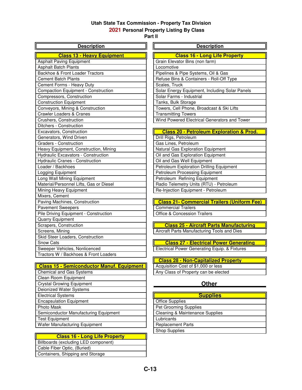### **2021 Personal Property Listing By Class**

**Part ll**

| <b>Description</b>                               | <b>Description</b>                                  |
|--------------------------------------------------|-----------------------------------------------------|
| <b>Class 13 - Heavy Equipment</b>                | <b>Class 16 - Long Life Property</b>                |
| <b>Asphalt Paving Equipment</b>                  | Grain Elevator Bins (non farm)                      |
| <b>Asphalt Batch Plants</b>                      | Locomotive                                          |
| Backhoe & Front Loader Tractors                  | Pipelines & Pipe Systems, Oil & Gas                 |
| <b>Cement Batch Plants</b>                       | Refuse Bins & Containers - Roll-Off Type            |
| Cement Forms - Heavy Duty                        | Scales, Truck                                       |
| <b>Compaction Equipment - Construction</b>       | Solar Energy Equipment, Including Solar Panels      |
| Compressors, Construction                        | Solar Farms - Industrial                            |
| <b>Construction Equipment</b>                    | Tanks, Bulk Storage                                 |
| Conveyors, Mining & Construction                 | Towers, Cell Phone, Broadcast & Ski Lifts           |
| <b>Crawler Loaders &amp; Cranes</b>              | <b>Transmitting Towers</b>                          |
| Crushers, Construction                           | Wind Powered Electrical Generators and Tower        |
| Ditchers - Construction                          |                                                     |
| Excavators, Construction                         | <b>Class 20 - Petroleum Exploration &amp; Prod.</b> |
| Generators, Wind Driven                          | Drill Rigs, Petroleum                               |
| Graders - Construction                           | Gas Lines, Petroleum                                |
| Heavy Equipment, Construction, Mining            | Natural Gas Exploration Equipment                   |
| Hydraulic Excavators - Construction              | Oil and Gas Exploration Equipment                   |
| Hydraulic Cranes - Construction                  | Oil and Gas Well Equipment                          |
| Loader / Backhoes                                | Petroleum Exploration Drilling Equipment            |
| Logging Equipment                                | <b>Petroleum Processing Equipment</b>               |
| Long Wall Mining Equipment                       | Petroleum Refining Equipment                        |
| Material/Personnel Lifts, Gas or Diesel          | Radio Telemetry Units (RTU) - Petroleum             |
| Mining Heavy Equipment                           | Re-Injection Equipment - Petroleum                  |
| Mixers, Cement                                   |                                                     |
| Paving Machines, Construction                    | <b>Class 21- Commercial Trailers (Uniform Fee)</b>  |
| <b>Pavement Sweepers</b>                         | <b>Commercial Trailers</b>                          |
| Pile Driving Equipment - Construction            | <b>Office &amp; Concession Trailers</b>             |
| Quarry Equipment                                 |                                                     |
| Scrapers, Construction                           | <b>Class 25 - Aircraft Parts Manufacturing</b>      |
| Screens, Mining                                  | Aircraft Parts Manufacturing Tools and Dies         |
| Skid Steer Loaders, Construction                 |                                                     |
| Snow Cats                                        | <b>Class 27 - Electrical Power Generating</b>       |
| Sweeper Vehicles, Nonlicenced                    | Electrical Power Generating Equip. & Fixtures       |
| Tractors W / Backhoes & Front Loaders            |                                                     |
|                                                  | <b>Class 28 - Non-Capitalized Property</b>          |
| <b>Class 15 - Semiconductor Manuf. Equipment</b> | Acquisition Cost of \$1,000 or less                 |
| <b>Chemical and Gas Systems</b>                  | Any Class of Property can be elected                |
| Clean Room Equipment                             |                                                     |

# Crystal Growing Equipment **Crystal Growing Equipment**

| <b>Supplies</b>                 |
|---------------------------------|
| <b>Office Supplies</b>          |
| Pet Grooming Supplies           |
| Cleaning & Maintenance Supplies |
| Lubricants                      |
| <b>Replacement Parts</b>        |
| <b>Shop Supplies</b>            |

# **Class 16 - Long Life Property**

Billboards (excluding LED component)

Wafer Manufacturing Equipment

 Deionized Water Systems **Electrical Systems Encapsulation Equipment** 

Photo Mask

**Test Equipment** 

Cable Fiber Optic, (Buried)

Semiconductor Manufacturing Equipment

Containers, Shipping and Storage